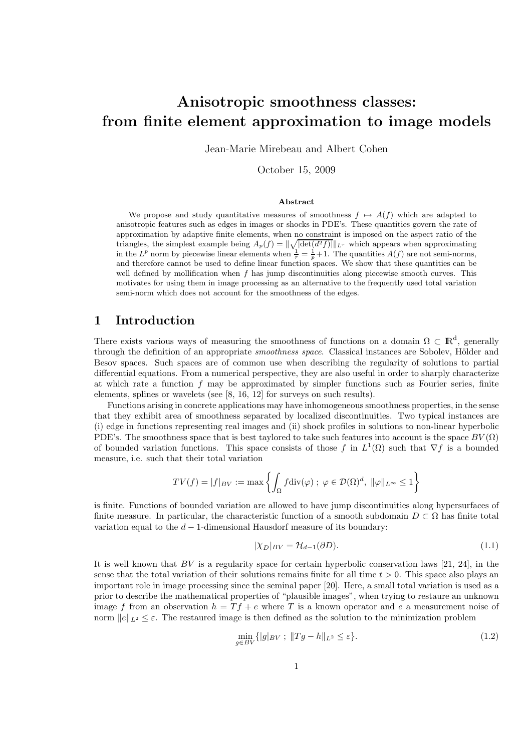# Anisotropic smoothness classes: from finite element approximation to image models

Jean-Marie Mirebeau and Albert Cohen

October 15, 2009

#### Abstract

We propose and study quantitative measures of smoothness  $f \mapsto A(f)$  which are adapted to anisotropic features such as edges in images or shocks in PDE's. These quantities govern the rate of approximation by adaptive finite elements, when no constraint is imposed on the aspect ratio of the triangles, the simplest example being  $A_p(f) = ||\sqrt{|\det(d^2f)||}||_{L^{\tau}}$  which appears when approximating in the  $L^p$  norm by piecewise linear elements when  $\frac{1}{\tau} = \frac{1}{p} + 1$ . The quantities  $A(f)$  are not semi-norms, and therefore cannot be used to define linear function spaces. We show that these quantities can be well defined by mollification when  $f$  has jump discontinuities along piecewise smooth curves. This motivates for using them in image processing as an alternative to the frequently used total variation semi-norm which does not account for the smoothness of the edges.

#### 1 Introduction

There exists various ways of measuring the smoothness of functions on a domain  $\Omega \subset \mathbb{R}^d$ , generally through the definition of an appropriate *smoothness space*. Classical instances are Sobolev, Hölder and Besov spaces. Such spaces are of common use when describing the regularity of solutions to partial differential equations. From a numerical perspective, they are also useful in order to sharply characterize at which rate a function  $f$  may be approximated by simpler functions such as Fourier series, finite elements, splines or wavelets (see [8, 16, 12] for surveys on such results).

Functions arising in concrete applications may have inhomogeneous smoothness properties, in the sense that they exhibit area of smoothness separated by localized discontinuities. Two typical instances are (i) edge in functions representing real images and (ii) shock profiles in solutions to non-linear hyperbolic PDE's. The smoothness space that is best taylored to take such features into account is the space  $BV(\Omega)$ of bounded variation functions. This space consists of those f in  $L^1(\Omega)$  such that  $\nabla f$  is a bounded measure, i.e. such that their total variation

$$
TV(f) = |f|_{BV} := \max\left\{ \int_{\Omega} f \operatorname{div}(\varphi) \; ; \; \varphi \in \mathcal{D}(\Omega)^d, \; ||\varphi||_{L^{\infty}} \le 1 \right\}
$$

is finite. Functions of bounded variation are allowed to have jump discontinuities along hypersurfaces of finite measure. In particular, the characteristic function of a smooth subdomain  $D \subset \Omega$  has finite total variation equal to the  $d-1$ -dimensional Hausdorf measure of its boundary:

$$
|\chi_D|_{BV} = \mathcal{H}_{d-1}(\partial D). \tag{1.1}
$$

It is well known that  $BV$  is a regularity space for certain hyperbolic conservation laws [21, 24], in the sense that the total variation of their solutions remains finite for all time  $t > 0$ . This space also plays an important role in image processing since the seminal paper [20]. Here, a small total variation is used as a prior to describe the mathematical properties of "plausible images", when trying to restaure an unknown image f from an observation  $h = Tf + e$  where T is a known operator and e a measurement noise of norm  $||e||_{L^2} \leq \varepsilon$ . The restaured image is then defined as the solution to the minimization problem

$$
\min_{q \in BV} \{|g|_{BV} \; ; \; \|Tg - h\|_{L^2} \le \varepsilon\}.
$$
\n(1.2)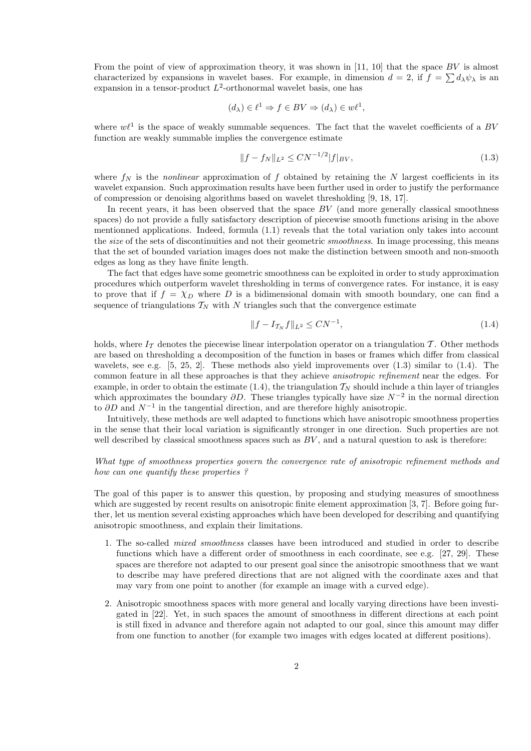From the point of view of approximation theory, it was shown in [11, 10] that the space  $BV$  is almost characterized by expansions in wavelet bases. For example, in dimension  $d = 2$ , if  $f = \sum d_{\lambda} \psi_{\lambda}$  is an expansion in a tensor-product  $L^2$ -orthonormal wavelet basis, one has

$$
(d_{\lambda}) \in \ell^1 \Rightarrow f \in BV \Rightarrow (d_{\lambda}) \in w\ell^1,
$$

where  $w\ell^1$  is the space of weakly summable sequences. The fact that the wavelet coefficients of a BV function are weakly summable implies the convergence estimate

$$
||f - f_N||_{L^2} \le CN^{-1/2} |f|_{BV},\tag{1.3}
$$

where  $f_N$  is the *nonlinear* approximation of f obtained by retaining the N largest coefficients in its wavelet expansion. Such approximation results have been further used in order to justify the performance of compression or denoising algorithms based on wavelet thresholding [9, 18, 17].

In recent years, it has been observed that the space  $BV$  (and more generally classical smoothness spaces) do not provide a fully satisfactory description of piecewise smooth functions arising in the above mentionned applications. Indeed, formula (1.1) reveals that the total variation only takes into account the *size* of the sets of discontinuities and not their geometric *smoothness*. In image processing, this means that the set of bounded variation images does not make the distinction between smooth and non-smooth edges as long as they have finite length.

The fact that edges have some geometric smoothness can be exploited in order to study approximation procedures which outperform wavelet thresholding in terms of convergence rates. For instance, it is easy to prove that if  $f = \chi_D$  where D is a bidimensional domain with smooth boundary, one can find a sequence of triangulations  $T_N$  with N triangles such that the convergence estimate

$$
||f - I_{\mathcal{T}_N} f||_{L^2} \leq CN^{-1},\tag{1.4}
$$

holds, where  $I<sub>T</sub>$  denotes the piecewise linear interpolation operator on a triangulation T. Other methods are based on thresholding a decomposition of the function in bases or frames which differ from classical wavelets, see e.g.  $[5, 25, 2]$ . These methods also yield improvements over  $(1.3)$  similar to  $(1.4)$ . The common feature in all these approaches is that they achieve *anisotropic refinement* near the edges. For example, in order to obtain the estimate  $(1.4)$ , the triangulation  $\mathcal{T}_N$  should include a thin layer of triangles which approximates the boundary  $\partial D$ . These triangles typically have size  $N^{-2}$  in the normal direction to  $\partial D$  and  $N^{-1}$  in the tangential direction, and are therefore highly anisotropic.

Intuitively, these methods are well adapted to functions which have anisotropic smoothness properties in the sense that their local variation is significantly stronger in one direction. Such properties are not well described by classical smoothness spaces such as  $BV$ , and a natural question to ask is therefore:

#### *What type of smoothness properties govern the convergence rate of anisotropic refinement methods and how can one quantify these properties ?*

The goal of this paper is to answer this question, by proposing and studying measures of smoothness which are suggested by recent results on anisotropic finite element approximation [3, 7]. Before going further, let us mention several existing approaches which have been developed for describing and quantifying anisotropic smoothness, and explain their limitations.

- 1. The so-called *mixed smoothness* classes have been introduced and studied in order to describe functions which have a different order of smoothness in each coordinate, see e.g. [27, 29]. These spaces are therefore not adapted to our present goal since the anisotropic smoothness that we want to describe may have prefered directions that are not aligned with the coordinate axes and that may vary from one point to another (for example an image with a curved edge).
- 2. Anisotropic smoothness spaces with more general and locally varying directions have been investigated in [22]. Yet, in such spaces the amount of smoothness in different directions at each point is still fixed in advance and therefore again not adapted to our goal, since this amount may differ from one function to another (for example two images with edges located at different positions).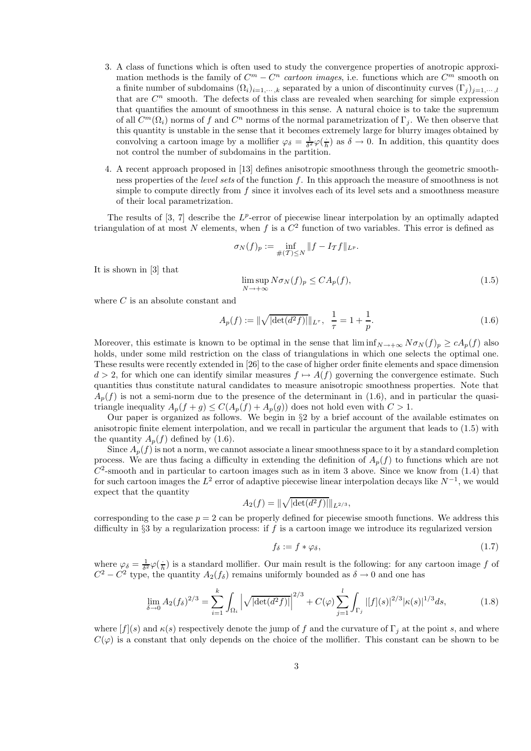- 3. A class of functions which is often used to study the convergence properties of anotropic approximation methods is the family of  $C^m - C^n$  *cartoon images*, i.e. functions which are  $C^m$  smooth on a finite number of subdomains  $(\Omega_i)_{i=1,\dots,k}$  separated by a union of discontinuity curves  $(\Gamma_i)_{i=1,\dots,k}$ that are  $C<sup>n</sup>$  smooth. The defects of this class are revealed when searching for simple expression that quantifies the amount of smoothness in this sense. A natural choice is to take the supremum of all  $C^m(\Omega_i)$  norms of f and  $C^n$  norms of the normal parametrization of  $\Gamma_j$ . We then observe that this quantity is unstable in the sense that it becomes extremely large for blurry images obtained by convolving a cartoon image by a mollifier  $\varphi_{\delta} = \frac{1}{\delta^2} \varphi(\frac{1}{h})$  as  $\delta \to 0$ . In addition, this quantity does not control the number of subdomains in the partition.
- 4. A recent approach proposed in [13] defines anisotropic smoothness through the geometric smoothness properties of the *level sets* of the function f. In this approach the measure of smoothness is not simple to compute directly from  $f$  since it involves each of its level sets and a smoothness measure of their local parametrization.

The results of  $[3, 7]$  describe the  $L^p$ -error of piecewise linear interpolation by an optimally adapted triangulation of at most N elements, when f is a  $C^2$  function of two variables. This error is defined as

$$
\sigma_N(f)_p := \inf_{\#(T) \le N} \|f - I_T f\|_{L^p}.
$$

It is shown in [3] that

$$
\limsup_{N \to +\infty} N \sigma_N(f)_p \le C A_p(f),\tag{1.5}
$$

where C is an absolute constant and

$$
A_p(f) := \|\sqrt{|\det(d^2 f)|}\|_{L^{\tau}}, \ \ \frac{1}{\tau} = 1 + \frac{1}{p}.\tag{1.6}
$$

Moreover, this estimate is known to be optimal in the sense that  $\liminf_{N\to+\infty}N\sigma_N(f)_p\geq cA_p(f)$  also holds, under some mild restriction on the class of triangulations in which one selects the optimal one. These results were recently extended in [26] to the case of higher order finite elements and space dimension  $d > 2$ , for which one can identify similar measures  $f \mapsto A(f)$  governing the convergence estimate. Such quantities thus constitute natural candidates to measure anisotropic smoothness properties. Note that  $A_p(f)$  is not a semi-norm due to the presence of the determinant in (1.6), and in particular the quasitriangle inequality  $A_p(f+q) \leq C(A_p(f) + A_p(q))$  does not hold even with  $C > 1$ .

Our paper is organized as follows. We begin in  $\S2$  by a brief account of the available estimates on anisotropic finite element interpolation, and we recall in particular the argument that leads to (1.5) with the quantity  $A_p(f)$  defined by (1.6).

Since  $A_p(f)$  is not a norm, we cannot associate a linear smoothness space to it by a standard completion process. We are thus facing a difficulty in extending the definition of  $A_p(f)$  to functions which are not  $C<sup>2</sup>$ -smooth and in particular to cartoon images such as in item 3 above. Since we know from (1.4) that for such cartoon images the  $L^2$  error of adaptive piecewise linear interpolation decays like  $N^{-1}$ , we would expect that the quantity

$$
A_2(f) = \|\sqrt{|\det(d^2 f)|}\|_{L^{2/3}},
$$

corresponding to the case  $p = 2$  can be properly defined for piecewise smooth functions. We address this difficulty in §3 by a regularization process: if  $f$  is a cartoon image we introduce its regularized version

$$
f_{\delta} := f * \varphi_{\delta},\tag{1.7}
$$

where  $\varphi_{\delta} = \frac{1}{\delta^2} \varphi(\frac{1}{h})$  is a standard mollifier. Our main result is the following: for any cartoon image f of  $C^2 - C^2$  type, the quantity  $A_2(f_\delta)$  remains uniformly bounded as  $\delta \to 0$  and one has

$$
\lim_{\delta \to 0} A_2(f_\delta)^{2/3} = \sum_{i=1}^k \int_{\Omega_i} \left| \sqrt{|\det(d^2 f)|} \right|^{2/3} + C(\varphi) \sum_{j=1}^l \int_{\Gamma_j} |[f](s)|^{2/3} |\kappa(s)|^{1/3} ds, \tag{1.8}
$$

where  $[f](s)$  and  $\kappa(s)$  respectively denote the jump of f and the curvature of  $\Gamma_i$  at the point s, and where  $C(\varphi)$  is a constant that only depends on the choice of the mollifier. This constant can be shown to be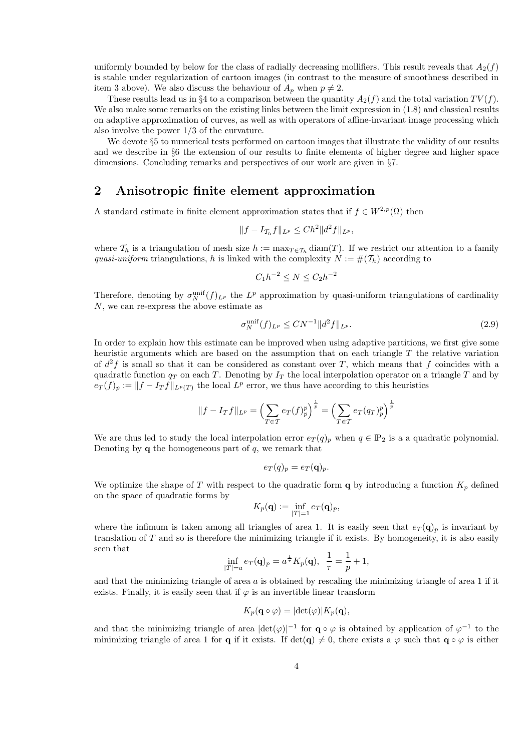uniformly bounded by below for the class of radially decreasing mollifiers. This result reveals that  $A_2(f)$ is stable under regularization of cartoon images (in contrast to the measure of smoothness described in item 3 above). We also discuss the behaviour of  $A_p$  when  $p \neq 2$ .

These results lead us in §4 to a comparison between the quantity  $A_2(f)$  and the total variation  $TV(f)$ . We also make some remarks on the existing links between the limit expression in  $(1.8)$  and classical results on adaptive approximation of curves, as well as with operators of affine-invariant image processing which also involve the power 1/3 of the curvature.

We devote  $\S 5$  to numerical tests performed on cartoon images that illustrate the validity of our results and we describe in §6 the extension of our results to finite elements of higher degree and higher space dimensions. Concluding remarks and perspectives of our work are given in §7.

### 2 Anisotropic finite element approximation

A standard estimate in finite element approximation states that if  $f \in W^{2,p}(\Omega)$  then

$$
||f - I_{\mathcal{T}_h} f||_{L^p} \leq Ch^2 ||d^2 f||_{L^p},
$$

where  $\mathcal{T}_h$  is a triangulation of mesh size  $h := \max_{T \in \mathcal{T}_h} \text{diam}(T)$ . If we restrict our attention to a family *quasi-uniform* triangulations, h is linked with the complexity  $N := \#(\mathcal{T}_h)$  according to

$$
C_1h^{-2} \le N \le C_2h^{-2}
$$

Therefore, denoting by  $\sigma_N^{\text{unif}}(f)_{L^p}$  the  $L^p$  approximation by quasi-uniform triangulations of cardinality N, we can re-express the above estimate as

$$
\sigma_N^{\text{unif}}(f)_{L^p} \le CN^{-1} \|d^2 f\|_{L^p}.
$$
\n(2.9)

In order to explain how this estimate can be improved when using adaptive partitions, we first give some heuristic arguments which are based on the assumption that on each triangle  $T$  the relative variation of  $d^2f$  is small so that it can be considered as constant over T, which means that f coincides with a quadratic function  $q_T$  on each T. Denoting by  $I_T$  the local interpolation operator on a triangle T and by  $e_T(f)_p := ||f - I_T f||_{L^p(T)}$  the local  $L^p$  error, we thus have according to this heuristics

$$
||f - I_Tf||_{L^p} = \left(\sum_{T \in \mathcal{T}} e_T(f)_p^p\right)^{\frac{1}{p}} = \left(\sum_{T \in \mathcal{T}} e_T(q_T)_p^p\right)^{\frac{1}{p}}
$$

We are thus led to study the local interpolation error  $e_T(q)_p$  when  $q \in \mathbb{P}_2$  is a a quadratic polynomial. Denoting by  $q$  the homogeneous part of  $q$ , we remark that

$$
e_T(q)_p = e_T(\mathbf{q})_p.
$$

We optimize the shape of T with respect to the quadratic form  $\bf{q}$  by introducing a function  $K_p$  defined on the space of quadratic forms by

$$
K_p(\mathbf{q}) := \inf_{|T|=1} e_T(\mathbf{q})_p,
$$

where the infimum is taken among all triangles of area 1. It is easily seen that  $e_T(\mathbf{q})_p$  is invariant by translation of  $T$  and so is therefore the minimizing triangle if it exists. By homogeneity, it is also easily seen that

$$
\inf_{|T|=a} e_T(\mathbf{q})_p = a^{\frac{1}{\tau}} K_p(\mathbf{q}), \ \ \frac{1}{\tau} = \frac{1}{p} + 1,
$$

and that the minimizing triangle of area  $a$  is obtained by rescaling the minimizing triangle of area 1 if it exists. Finally, it is easily seen that if  $\varphi$  is an invertible linear transform

$$
K_p(\mathbf{q} \circ \varphi) = |\det(\varphi)| K_p(\mathbf{q}),
$$

and that the minimizing triangle of area  $|\text{det}(\varphi)|^{-1}$  for  $\mathbf{q} \circ \varphi$  is obtained by application of  $\varphi^{-1}$  to the minimizing triangle of area 1 for **q** if it exists. If det(**q**)  $\neq$  0, there exists a  $\varphi$  such that **q**  $\circ \varphi$  is either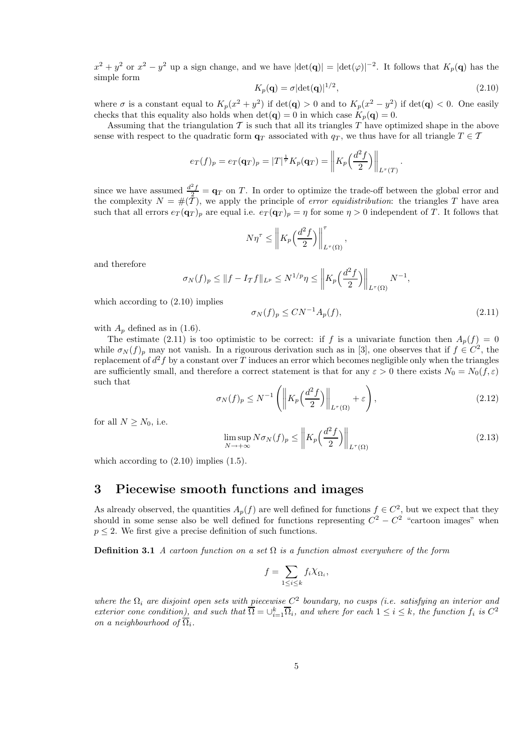$x^2 + y^2$  or  $x^2 - y^2$  up a sign change, and we have  $|\text{det}(\mathbf{q})| = |\text{det}(\varphi)|^{-2}$ . It follows that  $K_p(\mathbf{q})$  has the simple form

$$
K_p(\mathbf{q}) = \sigma |\det(\mathbf{q})|^{1/2},\tag{2.10}
$$

where  $\sigma$  is a constant equal to  $K_p(x^2 + y^2)$  if  $\det(\mathbf{q}) > 0$  and to  $K_p(x^2 - y^2)$  if  $\det(\mathbf{q}) < 0$ . One easily checks that this equality also holds when  $\det(\mathbf{q}) = 0$  in which case  $K_p(\mathbf{q}) = 0$ .

Assuming that the triangulation  $\mathcal T$  is such that all its triangles  $\mathcal T$  have optimized shape in the above sense with respect to the quadratic form  $\mathbf{q}_T$  associated with  $q_T$ , we thus have for all triangle  $T \in \mathcal{T}$ 

$$
e_T(f)_p = e_T(\mathbf{q}_T)_p = |T|^{\frac{1}{\tau}} K_p(\mathbf{q}_T) = \left\| K_p\left(\frac{d^2 f}{2}\right) \right\|_{L^\tau(T)}.
$$

since we have assumed  $\frac{d^2f}{2} = \mathbf{q}_T$  on T. In order to optimize the trade-off between the global error and the complexity  $N = \#(\mathcal{T})$ , we apply the principle of *error equidistribution*: the triangles T have area such that all errors  $e_T(\mathbf{q}_T)_p$  are equal i.e.  $e_T(\mathbf{q}_T)_p = \eta$  for some  $\eta > 0$  independent of T. It follows that

$$
N\eta^{\tau} \le \left\| K_p\left(\frac{d^2f}{2}\right) \right\|_{L^{\tau}(\Omega)}^{\tau},
$$

and therefore

$$
\sigma_N(f)_p \leq ||f - I_Tf||_{L^p} \leq N^{1/p}\eta \leq \left\|K_p\left(\frac{d^2f}{2}\right)\right\|_{L^{\tau}(\Omega)}N^{-1},
$$

which according to  $(2.10)$  implies

$$
\sigma_N(f)_p \le CN^{-1}A_p(f),\tag{2.11}
$$

with  $A_n$  defined as in (1.6).

The estimate (2.11) is too optimistic to be correct: if f is a univariate function then  $A_p(f) = 0$ while  $\sigma_N(f)_p$  may not vanish. In a rigourous derivation such as in [3], one observes that if  $f \in C^2$ , the replacement of  $d^2 f$  by a constant over T induces an error which becomes negligible only when the triangles are sufficiently small, and therefore a correct statement is that for any  $\varepsilon > 0$  there exists  $N_0 = N_0(f, \varepsilon)$ such that

$$
\sigma_N(f)_p \le N^{-1} \left( \left\| K_p\left(\frac{d^2 f}{2}\right) \right\|_{L^\tau(\Omega)} + \varepsilon \right),\tag{2.12}
$$

for all  $N \geq N_0$ , i.e.

$$
\limsup_{N \to +\infty} N \sigma_N(f)_p \le \left\| K_p\left(\frac{d^2 f}{2}\right) \right\|_{L^\tau(\Omega)}\tag{2.13}
$$

which according to  $(2.10)$  implies  $(1.5)$ .

#### 3 Piecewise smooth functions and images

As already observed, the quantities  $A_p(f)$  are well defined for functions  $f \in C^2$ , but we expect that they should in some sense also be well defined for functions representing  $C^2 - C^2$  "cartoon images" when  $p \leq 2$ . We first give a precise definition of such functions.

Definition 3.1 *A cartoon function on a set* Ω *is a function almost everywhere of the form*

$$
f = \sum_{1 \le i \le k} f_i \chi_{\Omega_i},
$$

where the  $\Omega_i$  are disjoint open sets with piecewise  $C^2$  boundary, no cusps (i.e. satisfying an interior and *exterior cone condition*), and such that  $\overline{\Omega} = \bigcup_{i=1}^{k} \overline{\Omega}_i$ , and where for each  $1 \leq i \leq k$ , the function  $f_i$  is  $C^2$ *on a neighbourhood of*  $\overline{\Omega_i}$ *.*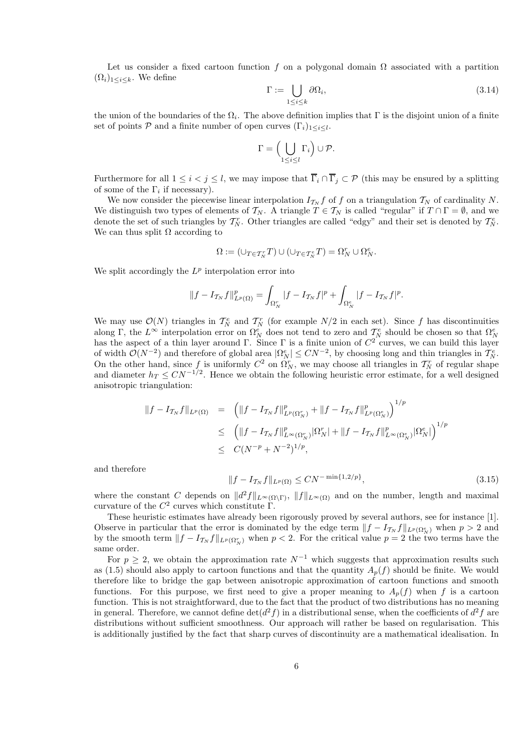Let us consider a fixed cartoon function f on a polygonal domain  $\Omega$  associated with a partition  $(\Omega_i)_{1\leq i\leq k}$ . We define

$$
\Gamma := \bigcup_{1 \le i \le k} \partial \Omega_i,\tag{3.14}
$$

the union of the boundaries of the  $\Omega_i$ . The above definition implies that  $\Gamma$  is the disjoint union of a finite set of points  $P$  and a finite number of open curves  $(\Gamma_i)_{1 \leq i \leq l}$ .

$$
\Gamma = \left(\bigcup_{1 \leq i \leq l} \Gamma_i\right) \cup \mathcal{P}.
$$

Furthermore for all  $1 \leq i < j \leq l$ , we may impose that  $\overline{\Gamma}_i \cap \overline{\Gamma}_j \subset \mathcal{P}$  (this may be ensured by a splitting of some of the  $\Gamma_i$  if necessary).

We now consider the piecewise linear interpolation  $I_{\mathcal{T}_N} f$  of f on a triangulation  $\mathcal{T}_N$  of cardinality N. We distinguish two types of elements of  $\mathcal{T}_N$ . A triangle  $T \in \mathcal{T}_N$  is called "regular" if  $T \cap \Gamma = \emptyset$ , and we denote the set of such triangles by  $T_N^r$ . Other triangles are called "edgy" and their set is denoted by  $T_N^e$ . We can thus split  $\Omega$  according to

$$
\Omega := (\cup_{T \in \mathcal{T}_N^r} T) \cup (\cup_{T \in \mathcal{T}_N^e} T) = \Omega_N^r \cup \Omega_N^e.
$$

We split accordingly the  $L^p$  interpolation error into

$$
||f - I_{\mathcal{T}_N} f||_{L^p(\Omega)}^p = \int_{\Omega_N^r} |f - I_{\mathcal{T}_N} f|^p + \int_{\Omega_N^e} |f - I_{\mathcal{T}_N} f|^p.
$$

We may use  $\mathcal{O}(N)$  triangles in  $\mathcal{T}_N^e$  and  $\mathcal{T}_N^r$  (for example  $N/2$  in each set). Since f has discontinuities along Γ, the  $L^{\infty}$  interpolation error on  $\Omega_N^e$  does not tend to zero and  $\mathcal{T}_N^e$  should be chosen so that  $\Omega_N^e$  has the aspect of a thin layer around Γ. Since Γ is a finite union of  $C^2$  curves, we can build t of width  $\mathcal{O}(N^{-2})$  and therefore of global area  $|\Omega_N^e| \leq CN^{-2}$ , by choosing long and thin triangles in  $\mathcal{T}_N^e$ . On the other hand, since f is uniformly  $C^2$  on  $\Omega_N^r$ , we may choose all triangles in  $\mathcal{T}_N^r$  of regular shape and diameter  $h_T \leq CN^{-1/2}$ . Hence we obtain the following heuristic error estimate, for a well designed anisotropic triangulation:

$$
\begin{array}{rcl}\n\|f - I_{\mathcal{T}_N} f\|_{L^p(\Omega)} & = & \left( \|f - I_{\mathcal{T}_N} f\|_{L^p(\Omega_N^r)}^p + \|f - I_{\mathcal{T}_N} f\|_{L^p(\Omega_N^e)}^p \right)^{1/p} \\
& \leq & \left( \|f - I_{\mathcal{T}_N} f\|_{L^\infty(\Omega_N^r)}^p |\Omega_N^r| + \|f - I_{\mathcal{T}_N} f\|_{L^\infty(\Omega_N^e)}^p |\Omega_N^e| \right)^{1/p} \\
& \leq & C(N^{-p} + N^{-2})^{1/p},\n\end{array}
$$

and therefore

$$
||f - I_{\mathcal{T}_N} f||_{L^p(\Omega)} \le CN^{-\min\{1, 2/p\}},
$$
\n(3.15)

where the constant C depends on  $||d^2f||_{L^{\infty}(\Omega\backslash\Gamma)}$ ,  $||f||_{L^{\infty}(\Omega)}$  and on the number, length and maximal curvature of the  $C^2$  curves which constitute  $\Gamma$ .

These heuristic estimates have already been rigorously proved by several authors, see for instance [1]. Observe in particular that the error is dominated by the edge term  $||f - I_{\mathcal{T}_N} f||_{L^p(\Omega_N^e)}$  when  $p > 2$  and by the smooth term  $||f - I_{\mathcal{T}_N} f||_{L^p(\Omega_N^r)}$  when  $p < 2$ . For the critical value  $p = 2$  the two terms have the same order.

For  $p \geq 2$ , we obtain the approximation rate  $N^{-1}$  which suggests that approximation results such as (1.5) should also apply to cartoon functions and that the quantity  $A_p(f)$  should be finite. We would therefore like to bridge the gap between anisotropic approximation of cartoon functions and smooth functions. For this purpose, we first need to give a proper meaning to  $A_n(f)$  when f is a cartoon function. This is not straightforward, due to the fact that the product of two distributions has no meaning in general. Therefore, we cannot define  $\det(d^2f)$  in a distributional sense, when the coefficients of  $d^2f$  are distributions without sufficient smoothness. Our approach will rather be based on regularisation. This is additionally justified by the fact that sharp curves of discontinuity are a mathematical idealisation. In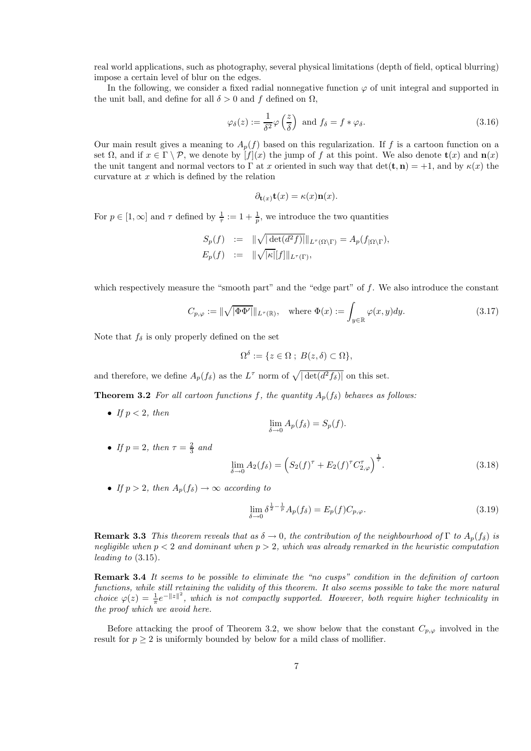real world applications, such as photography, several physical limitations (depth of field, optical blurring) impose a certain level of blur on the edges.

In the following, we consider a fixed radial nonnegative function  $\varphi$  of unit integral and supported in the unit ball, and define for all  $\delta > 0$  and f defined on  $\Omega$ ,

$$
\varphi_{\delta}(z) := \frac{1}{\delta^2} \varphi\left(\frac{z}{\delta}\right) \text{ and } f_{\delta} = f * \varphi_{\delta}.
$$
\n(3.16)

Our main result gives a meaning to  $A_p(f)$  based on this regularization. If f is a cartoon function on a set  $\Omega$ , and if  $x \in \Gamma \setminus \mathcal{P}$ , we denote by  $[f](x)$  the jump of f at this point. We also denote  $\mathbf{t}(x)$  and  $\mathbf{n}(x)$ the unit tangent and normal vectors to  $\Gamma$  at x oriented in such way that  $\det(\mathbf{t}, \mathbf{n}) = +1$ , and by  $\kappa(x)$  the curvature at  $x$  which is defined by the relation

$$
\partial_{\mathbf{t}(x)} \mathbf{t}(x) = \kappa(x) \mathbf{n}(x).
$$

For  $p \in [1, \infty]$  and  $\tau$  defined by  $\frac{1}{\tau} := 1 + \frac{1}{p}$ , we introduce the two quantities

$$
S_p(f) := \|\sqrt{|\det(d^2 f)|}\|_{L^{\tau}(\Omega \setminus \Gamma)} = A_p(f_{|\Omega \setminus \Gamma}),
$$
  

$$
E_p(f) := \|\sqrt{|\kappa|}|f|\|_{L^{\tau}(\Gamma)},
$$

which respectively measure the "smooth part" and the "edge part" of f. We also introduce the constant

$$
C_{p,\varphi} := \|\sqrt{|\Phi\Phi'|}\|_{L^{\tau}(\mathbb{R})}, \quad \text{where } \Phi(x) := \int_{y \in \mathbb{R}} \varphi(x,y) dy. \tag{3.17}
$$

Note that  $f_\delta$  is only properly defined on the set

$$
\Omega^{\delta} := \{ z \in \Omega \; ; \; B(z,\delta) \subset \Omega \},
$$

and therefore, we define  $A_p(f_\delta)$  as the  $L^{\tau}$  norm of  $\sqrt{|\det(d^2 f_\delta)|}$  on this set.

**Theorem 3.2** *For all cartoon functions f, the quantity*  $A_n(f_\delta)$  *behaves as follows:* 

• *If*  $p < 2$ *, then* 

$$
\lim_{\delta \to 0} A_p(f_{\delta}) = S_p(f).
$$

• *If*  $p = 2$ *, then*  $\tau = \frac{2}{3}$  *and* 

$$
\lim_{\delta \to 0} A_2(f_\delta) = \left( S_2(f)^\tau + E_2(f)^\tau C_{2,\varphi}^\tau \right)^{\frac{1}{\tau}}.
$$
\n(3.18)

• *If*  $p > 2$ *, then*  $A_p(f_\delta) \to \infty$  *according to* 

$$
\lim_{\delta \to 0} \delta^{\frac{1}{2} - \frac{1}{p}} A_p(f_\delta) = E_p(f) C_{p, \varphi}.
$$
\n(3.19)

**Remark 3.3** *This theorem reveals that as*  $\delta \to 0$ *, the contribution of the neighbourhood of* Γ *to*  $A_p(f_\delta)$  *is negligible when* p < 2 *and dominant when* p > 2*, which was already remarked in the heuristic computation leading to* (3.15)*.*

Remark 3.4 *It seems to be possible to eliminate the "no cusps" condition in the definition of cartoon functions, while still retaining the validity of this theorem. It also seems possible to take the more natural choice*  $\varphi(z) = \frac{1}{\pi}e^{-\|z\|^2}$ , which is not compactly supported. However, both require higher technicality in *the proof which we avoid here.*

Before attacking the proof of Theorem 3.2, we show below that the constant  $C_{p,\varphi}$  involved in the result for  $p \geq 2$  is uniformly bounded by below for a mild class of mollifier.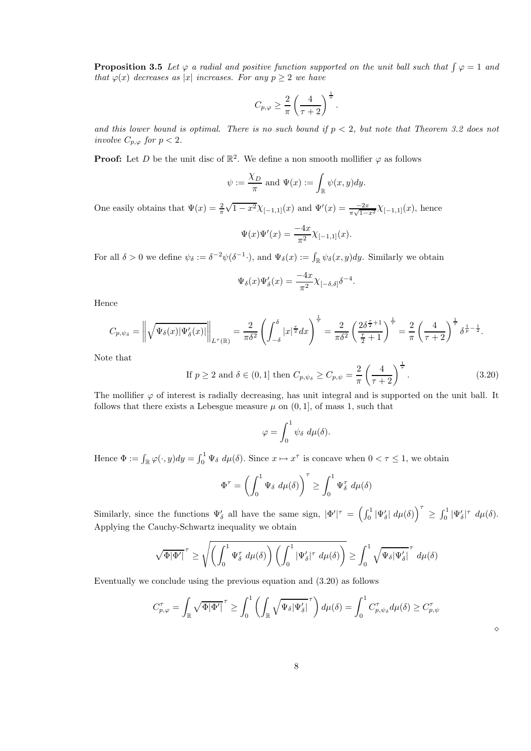**Proposition 3.5** Let  $\varphi$  *a radial and positive function supported on the unit ball such that*  $\int \varphi = 1$  *and that*  $\varphi(x)$  *decreases as* |x| *increases. For any*  $p \geq 2$  *we have* 

$$
C_{p,\varphi} \geq \frac{2}{\pi} \left( \frac{4}{\tau+2} \right)^{\frac{1}{\tau}}.
$$

and this lower bound is optimal. There is no such bound if  $p < 2$ , but note that Theorem 3.2 does not *involve*  $C_{p,\varphi}$  *for*  $p < 2$ *.* 

**Proof:** Let D be the unit disc of  $\mathbb{R}^2$ . We define a non smooth mollifier  $\varphi$  as follows

$$
\psi := \frac{\chi_D}{\pi}
$$
 and  $\Psi(x) := \int_{\mathbb{R}} \psi(x, y) dy$ .

One easily obtains that  $\Psi(x) = \frac{2}{\pi} \sqrt{1 - x^2} \chi_{[-1,1]}(x)$  and  $\Psi'(x) = \frac{-2x}{\pi \sqrt{1 - x^2}} \chi_{[-1,1]}(x)$ , hence

$$
\Psi(x)\Psi'(x) = \frac{-4x}{\pi^2} \chi_{[-1,1]}(x).
$$

For all  $\delta > 0$  we define  $\psi_{\delta} := \delta^{-2} \psi(\delta^{-1} \cdot),$  and  $\Psi_{\delta}(x) := \int_{\mathbb{R}} \psi_{\delta}(x, y) dy$ . Similarly we obtain

$$
\Psi_{\delta}(x)\Psi'_{\delta}(x) = \frac{-4x}{\pi^2} \chi_{[-\delta,\delta]} \delta^{-4}.
$$

Hence

$$
C_{p,\psi_{\delta}} = \left\| \sqrt{\Psi_{\delta}(x) |\Psi'_{\delta}(x)|} \right\|_{L^{\tau}(\mathbb{R})} = \frac{2}{\pi \delta^2} \left( \int_{-\delta}^{\delta} |x|^{\frac{\tau}{2}} dx \right)^{\frac{1}{\tau}} = \frac{2}{\pi \delta^2} \left( \frac{2\delta^{\frac{\tau}{2}+1}}{\frac{\tau}{2}+1} \right)^{\frac{1}{\tau}} = \frac{2}{\pi} \left( \frac{4}{\tau+2} \right)^{\frac{1}{\tau}} \delta^{\frac{1}{p}-\frac{1}{2}}.
$$

Note that

If 
$$
p \ge 2
$$
 and  $\delta \in (0, 1]$  then  $C_{p, \psi_{\delta}} \ge C_{p, \psi} = \frac{2}{\pi} \left( \frac{4}{\tau + 2} \right)^{\frac{1}{\tau}}$ . (3.20)

The mollifier  $\varphi$  of interest is radially decreasing, has unit integral and is supported on the unit ball. It follows that there exists a Lebesgue measure  $\mu$  on  $(0, 1]$ , of mass 1, such that

$$
\varphi = \int_0^1 \psi_\delta \ d\mu(\delta).
$$

Hence  $\Phi := \int_{\mathbb{R}} \varphi(\cdot, y) dy = \int_0^1 \Psi_\delta d\mu(\delta)$ . Since  $x \mapsto x^\tau$  is concave when  $0 < \tau \le 1$ , we obtain

$$
\Phi^{\tau} = \left(\int_0^1 \Psi_{\delta} \ d\mu(\delta)\right)^{\tau} \ge \int_0^1 \Psi_{\delta}^{\tau} \ d\mu(\delta)
$$

Similarly, since the functions  $\Psi'_{\delta}$  all have the same sign,  $|\Phi'|^{\tau} = \left(\int_0^1 |\Psi'_{\delta}| d\mu(\delta)\right)^{\tau} \geq \int_0^1 |\Psi'_{\delta}|^{\tau} d\mu(\delta)$ . Applying the Cauchy-Schwartz inequality we obtain

$$
\sqrt{\Phi|\Phi'|}^{\tau} \ge \sqrt{\left(\int_0^1 \Psi_\delta^{\tau} d\mu(\delta)\right) \left(\int_0^1 |\Psi_\delta'|^{\tau} d\mu(\delta)\right)} \ge \int_0^1 \sqrt{\Psi_\delta |\Psi_\delta'|}^{\tau} d\mu(\delta)
$$

Eventually we conclude using the previous equation and (3.20) as follows

$$
C_{p,\varphi}^{\tau} = \int_{\mathbb{R}} \sqrt{\Phi |\Phi'|}^{\tau} \ge \int_0^1 \left( \int_{\mathbb{R}} \sqrt{\Psi_{\delta} |\Psi_{\delta}'|}^{\tau} \right) d\mu(\delta) = \int_0^1 C_{p,\psi_{\delta}}^{\tau} d\mu(\delta) \ge C_{p,\psi}^{\tau}
$$

⋄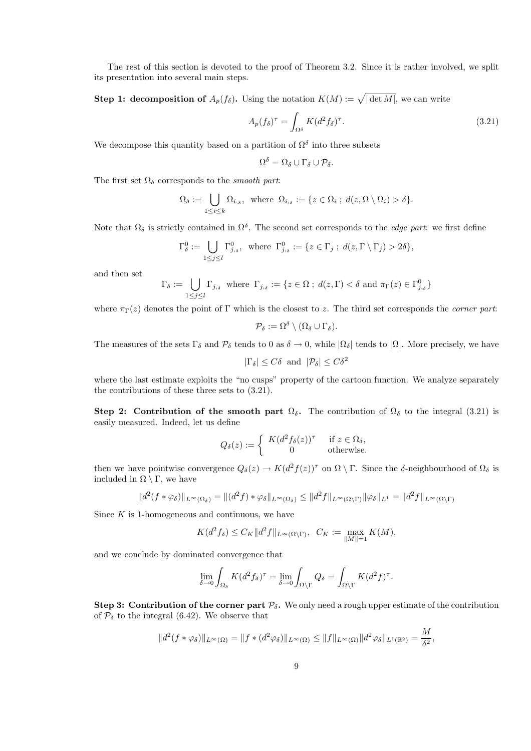The rest of this section is devoted to the proof of Theorem 3.2. Since it is rather involved, we split its presentation into several main steps.

**Step 1: decomposition of**  $A_p(f_\delta)$ . Using the notation  $K(M) := \sqrt{|\det M|}$ , we can write

$$
A_p(f_\delta)^\tau = \int_{\Omega^\delta} K(d^2 f_\delta)^\tau.
$$
\n(3.21)

We decompose this quantity based on a partition of  $\Omega^{\delta}$  into three subsets

$$
\Omega^{\delta} = \Omega_{\delta} \cup \Gamma_{\delta} \cup \mathcal{P}_{\delta}.
$$

The first set  $\Omega_{\delta}$  corresponds to the *smooth part*:

$$
\Omega_{\delta} := \bigcup_{1 \leq i \leq k} \Omega_{i,\delta}, \text{ where } \Omega_{i,\delta} := \{ z \in \Omega_i ; d(z, \Omega \setminus \Omega_i) > \delta \}.
$$

Note that  $\Omega_{\delta}$  is strictly contained in  $\Omega^{\delta}$ . The second set corresponds to the *edge part*: we first define

$$
\Gamma_{\delta}^{0} := \bigcup_{1 \leq j \leq l} \Gamma_{j,s}^{0}, \text{ where } \Gamma_{j,s}^{0} := \{ z \in \Gamma_{j} ; d(z, \Gamma \setminus \Gamma_{j}) > 2\delta \},
$$

and then set

$$
\Gamma_{\delta} := \bigcup_{1 \leq j \leq l} \Gamma_{j,\delta} \text{ where } \Gamma_{j,\delta} := \{ z \in \Omega \text{ ; } d(z,\Gamma) < \delta \text{ and } \pi_{\Gamma}(z) \in \Gamma_{j,\delta}^0 \}
$$

where  $\pi_{\Gamma}(z)$  denotes the point of Γ which is the closest to z. The third set corresponds the *corner part*:

$$
\mathcal{P}_{\delta} := \Omega^{\delta} \setminus (\Omega_{\delta} \cup \Gamma_{\delta}).
$$

The measures of the sets  $\Gamma_{\delta}$  and  $\mathcal{P}_{\delta}$  tends to 0 as  $\delta \to 0$ , while  $|\Omega_{\delta}|$  tends to  $|\Omega|$ . More precisely, we have

$$
|\Gamma_{\delta}| \le C\delta \text{ and } |\mathcal{P}_{\delta}| \le C\delta^2
$$

where the last estimate exploits the "no cusps" property of the cartoon function. We analyze separately the contributions of these three sets to (3.21).

Step 2: Contribution of the smooth part  $\Omega_{\delta}$ . The contribution of  $\Omega_{\delta}$  to the integral (3.21) is easily measured. Indeed, let us define

$$
Q_{\delta}(z) := \begin{cases} K(d^2 f_{\delta}(z))^{\tau} & \text{if } z \in \Omega_{\delta}, \\ 0 & \text{otherwise.} \end{cases}
$$

then we have pointwise convergence  $Q_\delta(z) \to K(d^2 f(z))^{\tau}$  on  $\Omega \setminus \Gamma$ . Since the  $\delta$ -neighbourhood of  $\Omega_\delta$  is included in  $\Omega \setminus \Gamma$ , we have

$$
||d^2(f * \varphi_\delta)||_{L^\infty(\Omega_\delta)} = ||(d^2f) * \varphi_\delta||_{L^\infty(\Omega_\delta)} \le ||d^2f||_{L^\infty(\Omega \setminus \Gamma)} ||\varphi_\delta||_{L^1} = ||d^2f||_{L^\infty(\Omega \setminus \Gamma)}
$$

Since  $K$  is 1-homogeneous and continuous, we have

$$
K(d^2f_\delta) \le C_K \|d^2f\|_{L^\infty(\Omega \setminus \Gamma)}, \ \ C_K := \max_{\|M\|=1} K(M),
$$

and we conclude by dominated convergence that

$$
\lim_{\delta \to 0} \int_{\Omega_{\delta}} K(d^2 f_{\delta})^{\tau} = \lim_{\delta \to 0} \int_{\Omega \setminus \Gamma} Q_{\delta} = \int_{\Omega \setminus \Gamma} K(d^2 f)^{\tau}.
$$

**Step 3: Contribution of the corner part**  $\mathcal{P}_{\delta}$ **.** We only need a rough upper estimate of the contribution of  $P_{\delta}$  to the integral (6.42). We observe that

$$
||d^2(f*\varphi_\delta)||_{L^\infty(\Omega)} = ||f*(d^2\varphi_\delta)||_{L^\infty(\Omega)} \leq ||f||_{L^\infty(\Omega)} ||d^2\varphi_\delta||_{L^1(\mathbb{R}^2)} = \frac{M}{\delta^2},
$$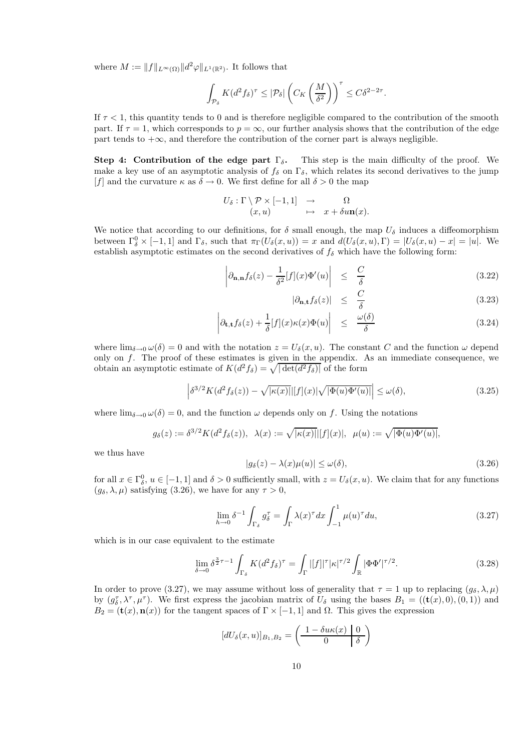where  $M := ||f||_{L^{\infty}(\Omega)} ||d^2\varphi||_{L^1(\mathbb{R}^2)}$ . It follows that

$$
\int_{\mathcal{P}_{\delta}} K(d^2 f_{\delta})^{\tau} \leq |\mathcal{P}_{\delta}| \left( C_K \left( \frac{M}{\delta^2} \right) \right)^{\tau} \leq C \delta^{2 - 2\tau}.
$$

If  $\tau$  < 1, this quantity tends to 0 and is therefore negligible compared to the contribution of the smooth part. If  $\tau = 1$ , which corresponds to  $p = \infty$ , our further analysis shows that the contribution of the edge part tends to  $+\infty$ , and therefore the contribution of the corner part is always negligible.

Step 4: Contribution of the edge part  $\Gamma_{\delta}$ . This step is the main difficulty of the proof. We make a key use of an asymptotic analysis of  $f_\delta$  on  $\Gamma_\delta$ , which relates its second derivatives to the jump [f] and the curvature  $\kappa$  as  $\delta \to 0$ . We first define for all  $\delta > 0$  the map

$$
U_{\delta} : \Gamma \setminus \mathcal{P} \times [-1,1] \rightarrow \Omega
$$
  

$$
(x,u) \mapsto x + \delta u \mathbf{n}(x).
$$

We notice that according to our definitions, for  $\delta$  small enough, the map  $U_{\delta}$  induces a diffeomorphism between  $\Gamma_{\delta}^{0} \times [-1,1]$  and  $\Gamma_{\delta}$ , such that  $\pi_{\Gamma}(U_{\delta}(x,u)) = x$  and  $d(U_{\delta}(x,u), \Gamma) = |U_{\delta}(x,u) - x| = |u|$ . We establish asymptotic estimates on the second derivatives of  $f_{\delta}$  which have the following form:

$$
\left| \partial_{\mathbf{n},\mathbf{n}} f_{\delta}(z) - \frac{1}{\delta^2} [f](x) \Phi'(u) \right| \leq \frac{C}{\delta} \tag{3.22}
$$

$$
|\partial_{\mathbf{n},t} f_{\delta}(z)| \leq \frac{C}{\delta} \tag{3.23}
$$

$$
\left| \partial_{\mathbf{t},\mathbf{t}} f_{\delta}(z) + \frac{1}{\delta} [f](x) \kappa(x) \Phi(u) \right| \leq \frac{\omega(\delta)}{\delta} \tag{3.24}
$$

where  $\lim_{\delta \to 0} \omega(\delta) = 0$  and with the notation  $z = U_{\delta}(x, u)$ . The constant C and the function  $\omega$  depend only on f. The proof of these estimates is given in the appendix. As an immediate consequence, we obtain an asymptotic estimate of  $K(d^2 f_\delta) = \sqrt{|\det(d^2 f_\delta)|}$  of the form

$$
\left| \delta^{3/2} K(d^2 f_\delta(z)) - \sqrt{|\kappa(x)|} |[f](x)| \sqrt{|\Phi(u)\Phi'(u)|} \right| \le \omega(\delta),\tag{3.25}
$$

where  $\lim_{\delta \to 0} \omega(\delta) = 0$ , and the function  $\omega$  depends only on f. Using the notations

$$
g_{\delta}(z) := \delta^{3/2} K(d^2 f_{\delta}(z)), \ \lambda(x) := \sqrt{|\kappa(x)|} |[f](x)|, \ \mu(u) := \sqrt{|\Phi(u)\Phi'(u)|},
$$

we thus have

$$
|g_{\delta}(z) - \lambda(x)\mu(u)| \le \omega(\delta),\tag{3.26}
$$

for all  $x \in \Gamma_\delta^0$ ,  $u \in [-1,1]$  and  $\delta > 0$  sufficiently small, with  $z = U_\delta(x, u)$ . We claim that for any functions  $(g_{\delta}, \lambda, \mu)$  satisfying (3.26), we have for any  $\tau > 0$ ,

$$
\lim_{h \to 0} \delta^{-1} \int_{\Gamma_{\delta}} g_{\delta}^{\tau} = \int_{\Gamma} \lambda(x)^{\tau} dx \int_{-1}^{1} \mu(u)^{\tau} du,
$$
\n(3.27)

which is in our case equivalent to the estimate

$$
\lim_{\delta \to 0} \delta^{\frac{3}{2}\tau - 1} \int_{\Gamma_{\delta}} K(d^2 f_{\delta})^{\tau} = \int_{\Gamma} |[f]|^{\tau} |\kappa|^{\tau/2} \int_{\mathbb{R}} |\Phi \Phi'|^{\tau/2}.
$$
 (3.28)

In order to prove (3.27), we may assume without loss of generality that  $\tau = 1$  up to replacing  $(g_{\delta}, \lambda, \mu)$ by  $(g_{\delta}^{\tau}, \lambda^{\tau}, \mu^{\tau})$ . We first express the jacobian matrix of  $U_{\delta}$  using the bases  $B_1 = ((\mathbf{t}(x), 0), (0, 1))$  and  $B_2 = (\mathbf{t}(x), \mathbf{n}(x))$  for the tangent spaces of  $\Gamma \times [-1, 1]$  and  $\Omega$ . This gives the expression

$$
[dU_{\delta}(x, u)]_{B_1, B_2} = \left(\begin{array}{c|c} 1 - \delta u \kappa(x) & 0 \\ \hline 0 & \delta \end{array}\right)
$$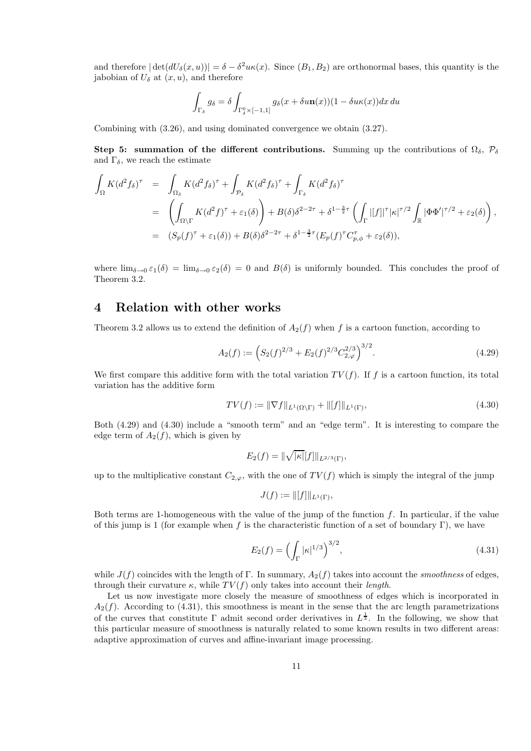and therefore  $|\det(dU_{\delta}(x, u))| = \delta - \delta^2 u\kappa(x)$ . Since  $(B_1, B_2)$  are orthonormal bases, this quantity is the jabobian of  $U_{\delta}$  at  $(x, u)$ , and therefore

$$
\int_{\Gamma_{\delta}} g_{\delta} = \delta \int_{\Gamma_{\delta}^{0} \times [-1,1]} g_{\delta}(x + \delta u \mathbf{n}(x)) (1 - \delta u \kappa(x)) dx du
$$

Combining with (3.26), and using dominated convergence we obtain (3.27).

Step 5: summation of the different contributions. Summing up the contributions of  $\Omega_{\delta}$ ,  $\mathcal{P}_{\delta}$ and  $\Gamma_{\delta}$ , we reach the estimate

$$
\int_{\Omega} K(d^2 f_\delta)^\tau = \int_{\Omega_\delta} K(d^2 f_\delta)^\tau + \int_{\mathcal{P}_\delta} K(d^2 f_\delta)^\tau + \int_{\Gamma_\delta} K(d^2 f_\delta)^\tau
$$
\n
$$
= \left( \int_{\Omega \setminus \Gamma} K(d^2 f)^\tau + \varepsilon_1(\delta) \right) + B(\delta) \delta^{2-2\tau} + \delta^{1-\frac{3}{2}\tau} \left( \int_{\Gamma} |[f]|^\tau |\kappa|^{\tau/2} \int_{\mathbb{R}} |\Phi \Phi'|^{\tau/2} + \varepsilon_2(\delta) \right),
$$
\n
$$
= (S_p(f)^\tau + \varepsilon_1(\delta)) + B(\delta) \delta^{2-2\tau} + \delta^{1-\frac{3}{2}\tau} (E_p(f)^\tau C_{p,\phi}^\tau + \varepsilon_2(\delta)),
$$

where  $\lim_{\delta\to 0} \varepsilon_1(\delta) = \lim_{\delta\to 0} \varepsilon_2(\delta) = 0$  and  $B(\delta)$  is uniformly bounded. This concludes the proof of Theorem 3.2.

## 4 Relation with other works

Theorem 3.2 allows us to extend the definition of  $A_2(f)$  when f is a cartoon function, according to

$$
A_2(f) := \left( S_2(f)^{2/3} + E_2(f)^{2/3} C_{2,\varphi}^{2/3} \right)^{3/2}.
$$
 (4.29)

We first compare this additive form with the total variation  $TV(f)$ . If f is a cartoon function, its total variation has the additive form

$$
TV(f) := \|\nabla f\|_{L^1(\Omega \setminus \Gamma)} + \|[f]\|_{L^1(\Gamma)},\tag{4.30}
$$

Both (4.29) and (4.30) include a "smooth term" and an "edge term". It is interesting to compare the edge term of  $A_2(f)$ , which is given by

$$
E_2(f) = \|\sqrt{|\kappa|} [f] \|_{L^{2/3}(\Gamma)},
$$

up to the multiplicative constant  $C_{2,\varphi}$ , with the one of  $TV(f)$  which is simply the integral of the jump

$$
J(f) := ||[f]||_{L^1(\Gamma)},
$$

Both terms are 1-homogeneous with the value of the jump of the function  $f$ . In particular, if the value of this jump is 1 (for example when f is the characteristic function of a set of boundary Γ), we have

$$
E_2(f) = \left(\int_{\Gamma} |\kappa|^{1/3}\right)^{3/2},\tag{4.31}
$$

while  $J(f)$  coincides with the length of Γ. In summary,  $A_2(f)$  takes into account the *smoothness* of edges, through their curvature  $\kappa$ , while  $TV(f)$  only takes into account their *length*.

Let us now investigate more closely the measure of smoothness of edges which is incorporated in  $A_2(f)$ . According to (4.31), this smoothness is meant in the sense that the arc length parametrizations of the curves that constitute  $\Gamma$  admit second order derivatives in  $L^{\frac{1}{3}}$ . In the following, we show that this particular measure of smoothness is naturally related to some known results in two different areas: adaptive approximation of curves and affine-invariant image processing.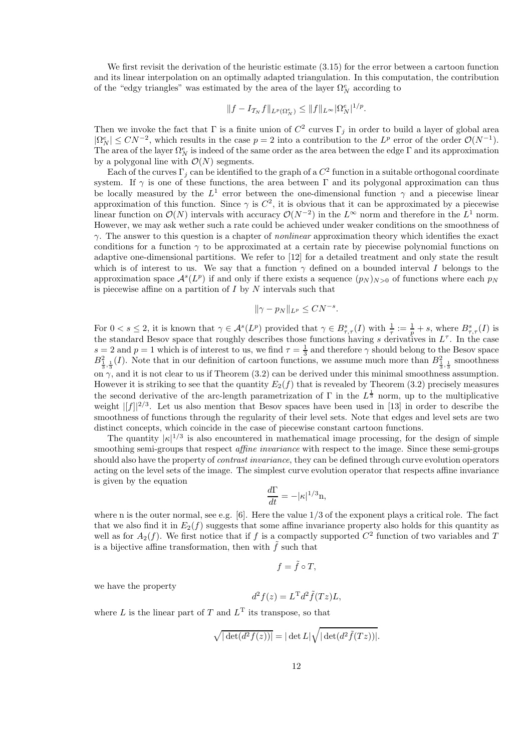We first revisit the derivation of the heuristic estimate  $(3.15)$  for the error between a cartoon function and its linear interpolation on an optimally adapted triangulation. In this computation, the contribution of the "edgy triangles" was estimated by the area of the layer  $\Omega _N^e$  according to

$$
||f - I_{\mathcal{T}_N} f||_{L^p(\Omega_N^e)} \le ||f||_{L^{\infty}} |\Omega_N^e|^{1/p}.
$$

Then we invoke the fact that  $\Gamma$  is a finite union of  $C^2$  curves  $\Gamma_j$  in order to build a layer of global area  $|\Omega_N^e| \leq CN^{-2}$ , which results in the case  $p=2$  into a contribution to the  $L^p$  error of the order  $\mathcal{O}(N^{-1})$ . The area of the layer  $\Omega_N^e$  is indeed of the same order as the area between the edge  $\Gamma$  and its approximation by a polygonal line with  $\mathcal{O}(N)$  segments.

Each of the curves  $\Gamma_j$  can be identified to the graph of a  $C^2$  function in a suitable orthogonal coordinate system. If  $\gamma$  is one of these functions, the area between  $\Gamma$  and its polygonal approximation can thus be locally measured by the  $L^1$  error between the one-dimensional function  $\gamma$  and a piecewise linear approximation of this function. Since  $\gamma$  is  $C^2$ , it is obvious that it can be approximated by a piecewise linear function on  $\mathcal{O}(N)$  intervals with accuracy  $\mathcal{O}(N^{-2})$  in the  $L^{\infty}$  norm and therefore in the  $L^{1}$  norm. However, we may ask wether such a rate could be achieved under weaker conditions on the smoothness of γ. The answer to this question is a chapter of *nonlinear* approximation theory which identifies the exact conditions for a function  $\gamma$  to be approximated at a certain rate by piecewise polynomial functions on adaptive one-dimensional partitions. We refer to [12] for a detailed treatment and only state the result which is of interest to us. We say that a function  $\gamma$  defined on a bounded interval I belongs to the approximation space  $\mathcal{A}^s(L^p)$  if and only if there exists a sequence  $(p_N)_{N>0}$  of functions where each  $p_N$ is piecewise affine on a partition of  $I$  by  $N$  intervals such that

$$
\|\gamma - p_N\|_{L^p} \leq C N^{-s}.
$$

For  $0 < s \leq 2$ , it is known that  $\gamma \in \mathcal{A}^s(L^p)$  provided that  $\gamma \in B^s_{\tau,\tau}(I)$  with  $\frac{1}{\tau} := \frac{1}{p} + s$ , where  $B^s_{\tau,\tau}(I)$  is the standard Besov space that roughly describes those functions having s derivatives in  $L^{\tau}$ . In the case  $s = 2$  and  $p = 1$  which is of interest to us, we find  $\tau = \frac{1}{3}$  and therefore  $\gamma$  should belong to the Besov space  $B_{\frac{1}{3},\frac{1}{3}}^{2}(I)$ . Note that in our definition of cartoon functions, we assume much more than  $B_{\frac{1}{3},\frac{1}{3}}^{2}$  smoothness on  $\gamma$ , and it is not clear to us if Theorem (3.2) can be derived under this minimal smoothness assumption. However it is striking to see that the quantity  $E_2(f)$  that is revealed by Theorem (3.2) precisely measures the second derivative of the arc-length parametrization of  $\Gamma$  in the  $L^{\frac{1}{3}}$  norm, up to the multiplicative weight  $||f||^{2/3}$ . Let us also mention that Besov spaces have been used in [13] in order to describe the smoothness of functions through the regularity of their level sets. Note that edges and level sets are two distinct concepts, which coincide in the case of piecewise constant cartoon functions.

The quantity  $|\kappa|^{1/3}$  is also encountered in mathematical image processing, for the design of simple smoothing semi-groups that respect *affine invariance* with respect to the image. Since these semi-groups should also have the property of *contrast invariance*, they can be defined through curve evolution operators acting on the level sets of the image. The simplest curve evolution operator that respects affine invariance is given by the equation

$$
\frac{d\Gamma}{dt} = -|\kappa|^{1/3}n,
$$

where n is the outer normal, see e.g.  $[6]$ . Here the value  $1/3$  of the exponent plays a critical role. The fact that we also find it in  $E_2(f)$  suggests that some affine invariance property also holds for this quantity as well as for  $A_2(f)$ . We first notice that if f is a compactly supported  $C^2$  function of two variables and T is a bijective affine transformation, then with  $\hat{f}$  such that

$$
f = \tilde{f} \circ T,
$$

we have the property

$$
d^2 f(z) = L^{\mathrm{T}} d^2 \tilde{f}(Tz) L,
$$

where L is the linear part of T and  $L<sup>T</sup>$  its transpose, so that

$$
\sqrt{|\det(d^2 f(z))|} = |\det L|\sqrt{|\det(d^2 \tilde{f}(Tz))|}.
$$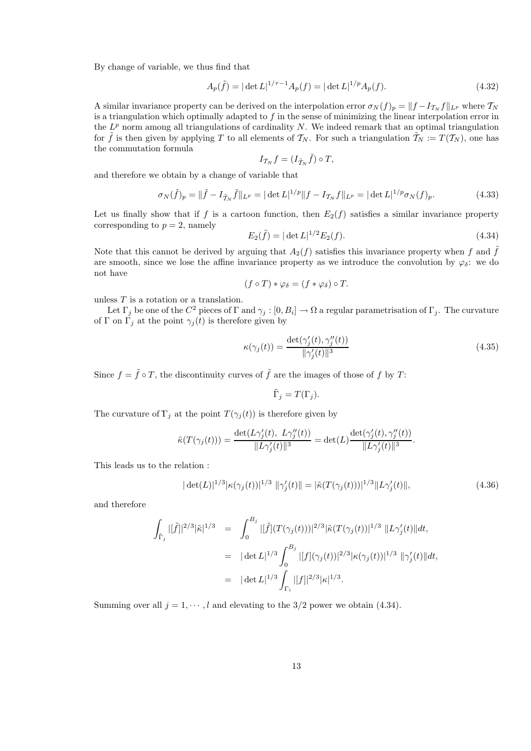By change of variable, we thus find that

$$
A_p(\tilde{f}) = |\det L|^{1/\tau - 1} A_p(f) = |\det L|^{1/p} A_p(f).
$$
\n(4.32)

A similar invariance property can be derived on the interpolation error  $\sigma_N(f)_p = ||f - I_{\mathcal{I}_N} f||_{L^p}$  where  $\mathcal{I}_N$ is a triangulation which optimally adapted to  $f$  in the sense of minimizing the linear interpolation error in the  $L^p$  norm among all triangulations of cardinality N. We indeed remark that an optimal triangulation for f is then given by applying T to all elements of  $\mathcal{T}_N$ . For such a triangulation  $\mathcal{T}_N := T(\mathcal{T}_N)$ , one has the commutation formula

$$
I_{\mathcal{T}_N}f=(I_{\tilde{\mathcal{T}}_N}\tilde{f})\circ T,
$$

and therefore we obtain by a change of variable that

$$
\sigma_N(\tilde{f})_p = \|\tilde{f} - I_{\tilde{T}_N}\tilde{f}\|_{L^p} = |\det L|^{1/p} \|f - I_{\tilde{T}_N}f\|_{L^p} = |\det L|^{1/p} \sigma_N(f)_p.
$$
\n(4.33)

Let us finally show that if f is a cartoon function, then  $E_2(f)$  satisfies a similar invariance property corresponding to  $p = 2$ , namely

$$
E_2(\tilde{f}) = |\det L|^{1/2} E_2(f). \tag{4.34}
$$

Note that this cannot be derived by arguing that  $A_2(f)$  satisfies this invariance property when f and f are smooth, since we lose the affine invariance property as we introduce the convolution by  $\varphi_{\delta}$ : we do not have

$$
(f \circ T) * \varphi_{\delta} = (f * \varphi_{\delta}) \circ T.
$$

unless  $T$  is a rotation or a translation.

Let  $\Gamma_j$  be one of the  $C^2$  pieces of  $\Gamma$  and  $\gamma_j : [0, B_i] \to \Omega$  a regular parametrisation of  $\Gamma_j$ . The curvature of Γ on Γ<sub>j</sub> at the point  $\gamma_i(t)$  is therefore given by

$$
\kappa(\gamma_j(t)) = \frac{\det(\gamma_j'(t), \gamma_j''(t))}{\|\gamma_j'(t)\|^3}
$$
\n(4.35)

Since  $f = \tilde{f} \circ T$ , the discontinuity curves of  $\tilde{f}$  are the images of those of f by T:

$$
\tilde{\Gamma}_j = T(\Gamma_j).
$$

The curvature of  $\Gamma_j$  at the point  $T(\gamma_j(t))$  is therefore given by

$$
\tilde{\kappa}(T(\gamma_j(t))) = \frac{\det(L\gamma'_j(t), L\gamma''_j(t))}{\|L\gamma'_j(t)\|^3} = \det(L) \frac{\det(\gamma'_j(t), \gamma''_j(t))}{\|L\gamma'_j(t)\|^3}.
$$

This leads us to the relation :

$$
|\det(L)|^{1/3} |\kappa(\gamma_j(t))|^{1/3} \, \|\gamma_j'(t)\| = |\tilde{\kappa}(T(\gamma_j(t)))|^{1/3} \|L\gamma_j'(t)\|,\tag{4.36}
$$

and therefore

$$
\int_{\tilde{\Gamma}_j} |[\tilde{f}]|^{2/3} |\tilde{\kappa}|^{1/3} = \int_0^{B_j} |[\tilde{f}] (T(\gamma_j(t)))|^{2/3} |\tilde{\kappa}(T(\gamma_j(t))|^{1/3} ||L\gamma'_j(t)||dt,
$$
  
\n
$$
= |\det L|^{1/3} \int_0^{B_j} |[f](\gamma_j(t))|^{2/3} |\kappa(\gamma_j(t))|^{1/3} ||\gamma'_j(t)||dt,
$$
  
\n
$$
= |\det L|^{1/3} \int_{\Gamma_i} |[f]|^{2/3} |\kappa|^{1/3}.
$$

Summing over all  $j = 1, \dots, l$  and elevating to the  $3/2$  power we obtain (4.34).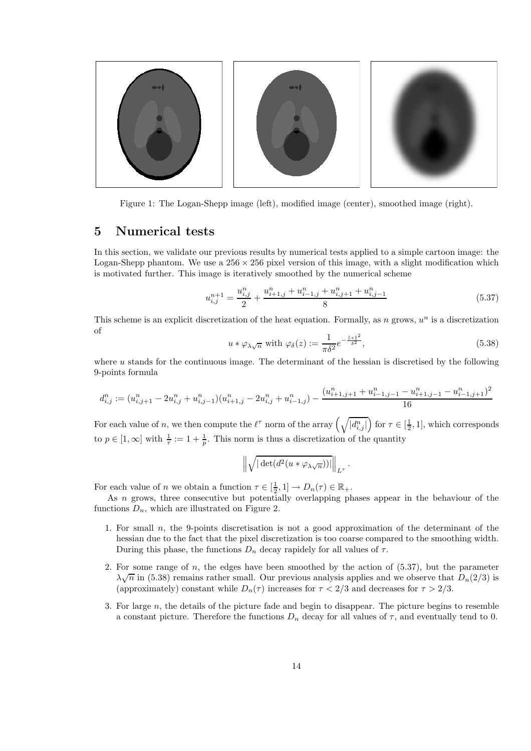

Figure 1: The Logan-Shepp image (left), modified image (center), smoothed image (right).

### 5 Numerical tests

In this section, we validate our previous results by numerical tests applied to a simple cartoon image: the Logan-Shepp phantom. We use a  $256 \times 256$  pixel version of this image, with a slight modification which is motivated further. This image is iteratively smoothed by the numerical scheme

$$
u_{i,j}^{n+1} = \frac{u_{i,j}^n}{2} + \frac{u_{i+1,j}^n + u_{i-1,j}^n + u_{i,j+1}^n + u_{i,j-1}^n}{8}
$$
(5.37)

This scheme is an explicit discretization of the heat equation. Formally, as  $n$  grows,  $u^n$  is a discretization of

$$
u * \varphi_{\lambda\sqrt{n}} \text{ with } \varphi_{\delta}(z) := \frac{1}{\pi\delta^2} e^{-\frac{\|z\|^2}{\delta^2}}, \tag{5.38}
$$

where  $u$  stands for the continuous image. The determinant of the hessian is discretised by the following 9-points formula

$$
d_{i,j}^n := (u_{i,j+1}^n - 2u_{i,j}^n + u_{i,j-1}^n)(u_{i+1,j}^n - 2u_{i,j}^n + u_{i-1,j}^n) - \frac{(u_{i+1,j+1}^n + u_{i-1,j-1}^n - u_{i+1,j-1}^n - u_{i-1,j+1}^n)^2}{16}
$$

For each value of n, we then compute the  $\ell^{\tau}$  norm of the array  $(\sqrt{|d_{i,j}^n|})$  for  $\tau \in [\frac{1}{2}, 1]$ , which corresponds to  $p \in [1, \infty]$  with  $\frac{1}{\tau} := 1 + \frac{1}{p}$ . This norm is thus a discretization of the quantity

$$
\left\|\sqrt{|\det(d^2(u*\varphi_{\lambda\sqrt{n}}))|}\right\|_{L^\tau}.
$$

For each value of n we obtain a function  $\tau \in [\frac{1}{2}, 1] \to D_n(\tau) \in \mathbb{R}_+$ .

As n grows, three consecutive but potentially overlapping phases appear in the behaviour of the functions  $D_n$ , which are illustrated on Figure 2.

- 1. For small n, the 9-points discretisation is not a good approximation of the determinant of the hessian due to the fact that the pixel discretization is too coarse compared to the smoothing width. During this phase, the functions  $D_n$  decay rapidely for all values of  $\tau$ .
- 2. For some range of n, the edges have been smoothed by the action of (5.37), but the parameter  $\lambda\sqrt{n}$  in (5.38) remains rather small. Our previous analysis applies and we observe that  $D_n(2/3)$  is (approximately) constant while  $D_n(\tau)$  increases for  $\tau < 2/3$  and decreases for  $\tau > 2/3$ .
- 3. For large n, the details of the picture fade and begin to disappear. The picture begins to resemble a constant picture. Therefore the functions  $D_n$  decay for all values of  $\tau$ , and eventually tend to 0.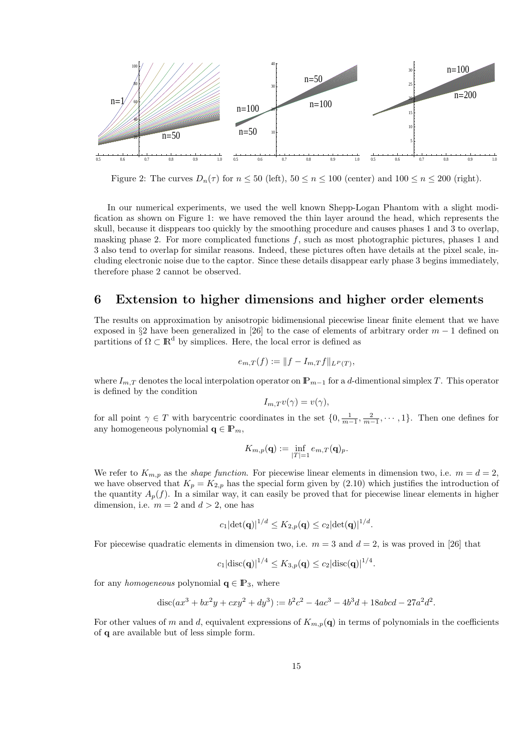

Figure 2: The curves  $D_n(\tau)$  for  $n \leq 50$  (left),  $50 \leq n \leq 100$  (center) and  $100 \leq n \leq 200$  (right).

In our numerical experiments, we used the well known Shepp-Logan Phantom with a slight modification as shown on Figure 1: we have removed the thin layer around the head, which represents the skull, because it disppears too quickly by the smoothing procedure and causes phases 1 and 3 to overlap, masking phase 2. For more complicated functions f, such as most photographic pictures, phases 1 and 3 also tend to overlap for similar reasons. Indeed, these pictures often have details at the pixel scale, including electronic noise due to the captor. Since these details disappear early phase 3 begins immediately, therefore phase 2 cannot be observed.

#### 6 Extension to higher dimensions and higher order elements

The results on approximation by anisotropic bidimensional piecewise linear finite element that we have exposed in §2 have been generalized in [26] to the case of elements of arbitrary order  $m-1$  defined on partitions of  $\Omega \subset \mathbb{R}^d$  by simplices. Here, the local error is defined as

$$
e_{m,T}(f) := ||f - I_{m,T}f||_{L^P(T)},
$$

where  $I_{m,T}$  denotes the local interpolation operator on  $\mathbb{P}_{m-1}$  for a d-dimentional simplex T. This operator is defined by the condition

$$
I_{m,T}v(\gamma)=v(\gamma),
$$

for all point  $\gamma \in T$  with barycentric coordinates in the set  $\{0, \frac{1}{m-1}, \frac{2}{m-1}, \cdots, 1\}$ . Then one defines for any homogeneous polynomial  $q \in \mathbb{P}_m$ ,

$$
K_{m,p}(\mathbf{q}) := \inf_{|T|=1} e_{m,T}(\mathbf{q})_p.
$$

We refer to  $K_{m,p}$  as the *shape function*. For piecewise linear elements in dimension two, i.e.  $m = d = 2$ , we have observed that  $K_p = K_{2,p}$  has the special form given by (2.10) which justifies the introduction of the quantity  $A_p(f)$ . In a similar way, it can easily be proved that for piecewise linear elements in higher dimension, i.e.  $m = 2$  and  $d > 2$ , one has

$$
c_1|\det(\mathbf{q})|^{1/d} \le K_{2,p}(\mathbf{q}) \le c_2|\det(\mathbf{q})|^{1/d}.
$$

For piecewise quadratic elements in dimension two, i.e.  $m = 3$  and  $d = 2$ , is was proved in [26] that

$$
c_1 | \text{disc}(\mathbf{q})|^{1/4} \le K_{3,p}(\mathbf{q}) \le c_2 | \text{disc}(\mathbf{q})|^{1/4}.
$$

for any *homogeneous* polynomial  $q \in \mathbb{P}_3$ , where

$$
disc(ax^3 + bx^2y + cxy^2 + dy^3) := b^2c^2 - 4ac^3 - 4b^3d + 18abcd - 27a^2d^2.
$$

For other values of m and d, equivalent expressions of  $K_{m,p}(\mathbf{q})$  in terms of polynomials in the coefficients of q are available but of less simple form.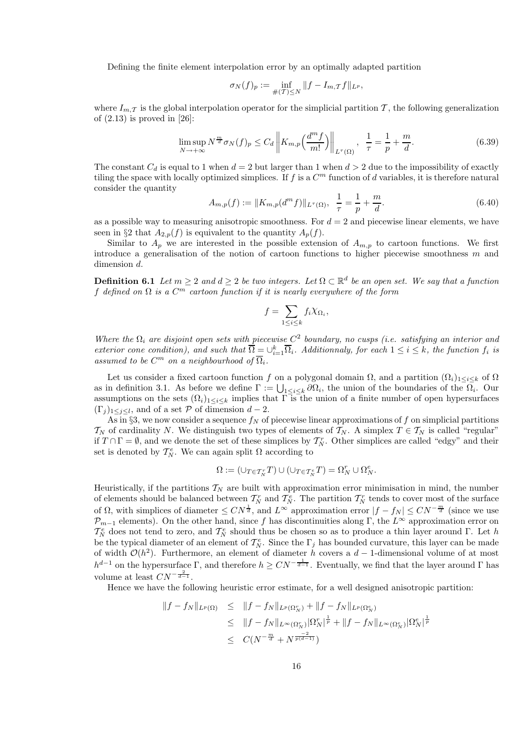Defining the finite element interpolation error by an optimally adapted partition

$$
\sigma_N(f)_p := \inf_{\#(T) \le N} \|f - I_{m,T}f\|_{L^p},
$$

where  $I_{m,\mathcal{T}}$  is the global interpolation operator for the simplicial partition  $\mathcal{T}$ , the following generalization of  $(2.13)$  is proved in  $[26]$ :

$$
\limsup_{N \to +\infty} N^{\frac{m}{d}} \sigma_N(f)_p \le C_d \left\| K_{m,p} \left( \frac{d^m f}{m!} \right) \right\|_{L^{\tau}(\Omega)}, \ \ \frac{1}{\tau} = \frac{1}{p} + \frac{m}{d}.
$$
\n
$$
(6.39)
$$

The constant  $C_d$  is equal to 1 when  $d = 2$  but larger than 1 when  $d > 2$  due to the impossibility of exactly tiling the space with locally optimized simplices. If  $f$  is a  $C<sup>m</sup>$  function of d variables, it is therefore natural consider the quantity

$$
A_{m,p}(f) := \|K_{m,p}(d^m f)\|_{L^\tau(\Omega)}, \ \ \frac{1}{\tau} = \frac{1}{p} + \frac{m}{d}.\tag{6.40}
$$

as a possible way to measuring anisotropic smoothness. For  $d = 2$  and piecewise linear elements, we have seen in §2 that  $A_{2,p}(f)$  is equivalent to the quantity  $A_p(f)$ .

Similar to  $A_p$  we are interested in the possible extension of  $A_{m,p}$  to cartoon functions. We first introduce a generalisation of the notion of cartoon functions to higher piecewise smoothness  $m$  and dimension d.

**Definition 6.1** *Let*  $m \geq 2$  *and*  $d \geq 2$  *be two integers. Let*  $\Omega \subset \mathbb{R}^d$  *be an open set. We say that a function* f *defined on* Ω *is a* C <sup>m</sup> *cartoon function if it is nearly everywhere of the form*

$$
f = \sum_{1 \le i \le k} f_i \chi_{\Omega_i},
$$

*Where the* Ω<sup>i</sup> *are disjoint open sets with piecewise* C 2 *boundary, no cusps (i.e. satisfying an interior and exterior cone condition), and such that*  $\overline{\Omega} = \bigcup_{i=1}^{k} \overline{\Omega}_i$ . Additionnaly, for each  $1 \leq i \leq k$ , the function  $f_i$  is assumed to be  $C^m$  on a neighbourhood of  $\overline{\Omega}_i$ .

Let us consider a fixed cartoon function f on a polygonal domain  $\Omega$ , and a partition  $(\Omega_i)_{1\leq i\leq k}$  of  $\Omega$ as in definition 3.1. As before we define  $\Gamma := \bigcup_{1 \leq i \leq k} \partial \Omega_i$ , the union of the boundaries of the  $\Omega_i$ . Our assumptions on the sets  $(\Omega_i)_{1\leq i\leq k}$  implies that  $\overline{\Gamma}$  is the union of a finite number of open hypersurfaces  $(\Gamma_j)_{1 \leq j \leq l}$ , and of a set P of dimension  $d-2$ .

As in §3, we now consider a sequence  $f_N$  of piecewise linear approximations of f on simplicial partitions  $\mathcal{T}_N$  of cardinality N. We distinguish two types of elements of  $\mathcal{T}_N$ . A simplex  $T \in \mathcal{T}_N$  is called "regular" if  $T \cap \Gamma = \emptyset$ , and we denote the set of these simplices by  $\mathcal{T}_{N}^{r}$ . Other simplices are called "edgy" and their set is denoted by  $\mathcal{T}_N^e$ . We can again split  $\Omega$  according to

$$
\Omega := \left( \cup_{T \in \mathcal{T}_N^r} T \right) \cup \left( \cup_{T \in \mathcal{T}_N^e} T \right) = \Omega_N^r \cup \Omega_N^e.
$$

Heuristically, if the partitions  $T_N$  are built with approximation error minimisation in mind, the number of elements should be balanced between  $\mathcal{T}_{N}^{r}$  and  $\mathcal{T}_{N}^{e}$ . The partition  $\mathcal{T}_{N}^{r}$  tends to cover most of the surface of  $\Omega$ , with simplices of diameter  $\leq CN^{\frac{1}{d}}$ , and  $L^{\infty}$  approximation error  $|f - f_N| \leq CN^{-\frac{m}{d}}$  (since we use  $\mathcal{P}_{m-1}$  elements). On the other hand, since f has discontinuities along Γ, the  $L^{\infty}$  approximation error on  $\mathcal{T}_{N}^{e}$  does not tend to zero, and  $\mathcal{T}_{N}^{e}$  should thus be chosen so as to produce a thin layer around Γ. Let h be the typical diameter of an element of  $\mathcal{T}_N^e$ . Since the  $\Gamma_j$  has bounded curvature, this layer can be made of width  $\mathcal{O}(h^2)$ . Furthermore, an element of diameter h covers a d – 1-dimensional volume of at most  $h^{d-1}$  on the hypersurface  $\Gamma$ , and therefore  $h \ge CN^{-\frac{1}{d-1}}$ . Eventually, we find that the layer around  $\Gamma$  has volume at least  $CN^{-\frac{2}{d-1}}$ .

Hence we have the following heuristic error estimate, for a well designed anisotropic partition:

$$
\begin{array}{rcl}\n\|f - f_N\|_{L^p(\Omega)} & \leq & \|f - f_N\|_{L^p(\Omega_N^r)} + \|f - f_N\|_{L^p(\Omega_N^e)} \\
& \leq & \|f - f_N\|_{L^\infty(\Omega_N^r)} |\Omega_N^r|^{\frac{1}{p}} + \|f - f_N\|_{L^\infty(\Omega_N^e)} |\Omega_N^e|^{\frac{1}{p}} \\
& \leq & C(N^{-\frac{m}{d}} + N^{\frac{-2}{p(d-1)}})\n\end{array}
$$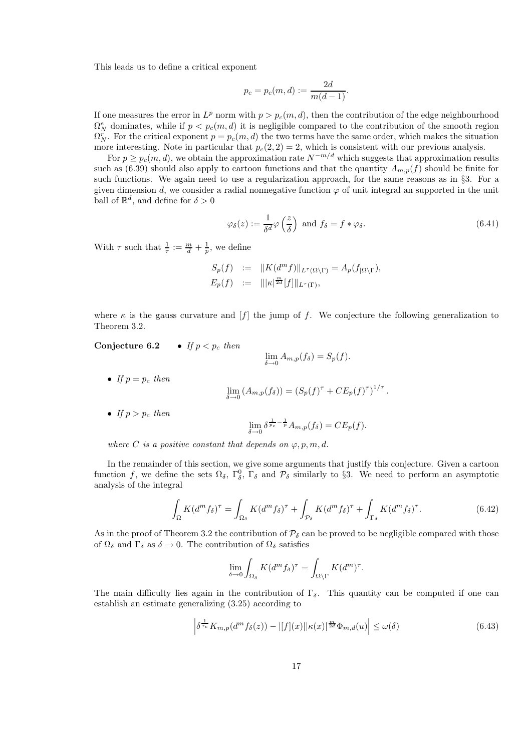This leads us to define a critical exponent

$$
p_c = p_c(m, d) := \frac{2d}{m(d-1)}.
$$

If one measures the error in  $L^p$  norm with  $p > p_c(m, d)$ , then the contribution of the edge neighbourhood  $\Omega_N^e$  dominates, while if  $p < p_c(m, d)$  it is negligible compared to the contribution of the smooth region  $\Omega_N^r$ . For the critical exponent  $p = p_c(m, d)$  the two terms have the same order, which makes the situation more interesting. Note in particular that  $p_c(2, 2) = 2$ , which is consistent with our previous analysis.

For  $p \geq p_c(m, d)$ , we obtain the approximation rate  $N^{-m/d}$  which suggests that approximation results such as (6.39) should also apply to cartoon functions and that the quantity  $A_{m,p}(f)$  should be finite for such functions. We again need to use a regularization approach, for the same reasons as in §3. For a given dimension d, we consider a radial nonnegative function  $\varphi$  of unit integral an supported in the unit ball of  $\mathbb{R}^d$ , and define for  $\delta > 0$ 

$$
\varphi_{\delta}(z) := \frac{1}{\delta^d} \varphi\left(\frac{z}{\delta}\right) \text{ and } f_{\delta} = f * \varphi_{\delta}.
$$
\n(6.41)

With  $\tau$  such that  $\frac{1}{\tau} := \frac{m}{d} + \frac{1}{p}$ , we define

$$
S_p(f) := ||K(d^m f)||_{L^{\tau}(\Omega \backslash \Gamma)} = A_p(f_{|\Omega \backslash \Gamma}),
$$
  
\n
$$
E_p(f) := ||\kappa|^{\frac{m}{2d}}[f]||_{L^{\tau}(\Gamma)},
$$

where  $\kappa$  is the gauss curvature and  $[f]$  the jump of f. We conjecture the following generalization to Theorem 3.2.

Conjecture 6.2 • *If*  $p < p_c$  *then* 

• If 
$$
p = p_c
$$
 then  
\n
$$
\lim_{\delta \to 0} (A_{m,p}(f_{\delta})) = (S_p(f)^{\tau} + CE_p(f)^{\tau})^{1/\tau}.
$$

• *If*  $p > p_c$  *then* 

$$
\lim_{\delta \to 0} \delta^{\frac{1}{p_c} - \frac{1}{p}} A_{m,p}(f_{\delta}) = CE_p(f).
$$

 $\lim_{m \to \infty} A_{m,p}(f_{\delta}) = S_p(f).$ 

*where* C *is a positive constant that depends on*  $\varphi$ ,  $p$ ,  $m$ ,  $d$ .

In the remainder of this section, we give some arguments that justify this conjecture. Given a cartoon function f, we define the sets  $\Omega_{\delta}$ ,  $\Gamma_{\delta}^{0}$ ,  $\Gamma_{\delta}$  and  $\mathcal{P}_{\delta}$  similarly to §3. We need to perform an asymptotic analysis of the integral

$$
\int_{\Omega} K(d^m f_\delta)^\tau = \int_{\Omega_\delta} K(d^m f_\delta)^\tau + \int_{\mathcal{P}_\delta} K(d^m f_\delta)^\tau + \int_{\Gamma_\delta} K(d^m f_\delta)^\tau.
$$
\n(6.42)

As in the proof of Theorem 3.2 the contribution of  $P_{\delta}$  can be proved to be negligible compared with those of  $\Omega_{\delta}$  and  $\Gamma_{\delta}$  as  $\delta \to 0$ . The contribution of  $\Omega_{\delta}$  satisfies

$$
\lim_{\delta \to 0} \int_{\Omega_{\delta}} K(d^m f_{\delta})^{\tau} = \int_{\Omega \setminus \Gamma} K(d^m)^{\tau}.
$$

The main difficulty lies again in the contribution of  $\Gamma_{\delta}$ . This quantity can be computed if one can establish an estimate generalizing (3.25) according to

$$
\left| \delta^{\frac{1}{\tau_c}} K_{m,p}(d^m f_\delta(z)) - |[f](x)| |\kappa(x)|^{\frac{m}{2d}} \Phi_{m,d}(u) \right| \le \omega(\delta)
$$
\n(6.43)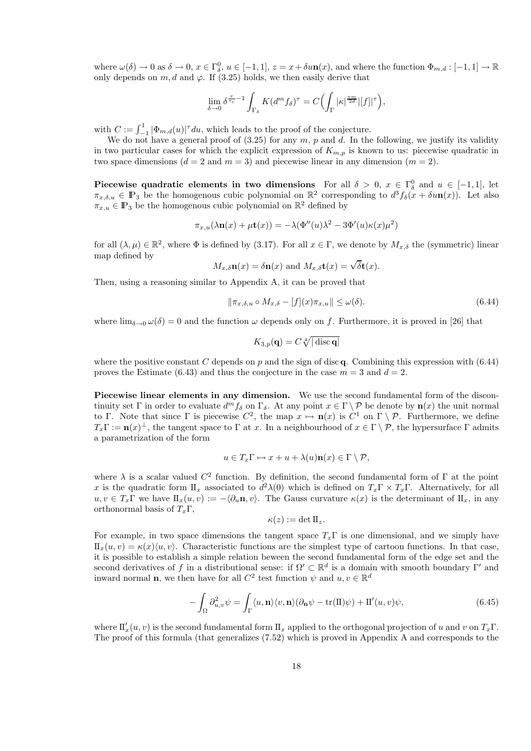where  $\omega(\delta) \to 0$  as  $\delta \to 0$ ,  $x \in \Gamma_0^0$ ,  $u \in [-1,1]$ ,  $z = x + \delta u \mathbf{n}(x)$ , and where the function  $\Phi_{m,d} : [-1,1] \to \mathbb{R}$ only depends on  $m, d$  and  $\varphi$ . If (3.25) holds, we then easily derive that

$$
\lim_{\delta \to 0} \delta^{\frac{\tau}{\tau_c} - 1} \int_{\Gamma_{\delta}} K(d^m f_{\delta})^{\tau} = C \Big( \int_{\Gamma} |\kappa|^{\frac{\tau m}{2d}} |[f]|^{\tau} \Big),
$$

with  $C := \int_{-1}^{1} |\Phi_{m,d}(u)|^{\tau} du$ , which leads to the proof of the conjecture.

We do not have a general proof of  $(3.25)$  for any m, p and d. In the following, we justify its validity in two particular cases for which the explicit expression of  $K_{m,p}$  is known to us: piecewise quadratic in two space dimensions  $(d = 2 \text{ and } m = 3)$  and piecewise linear in any dimension  $(m = 2)$ .

Piecewise quadratic elements in two dimensions For all  $\delta > 0$ ,  $x \in \Gamma_\delta^0$  and  $u \in [-1, 1]$ , let  $\pi_{x,\delta,u} \in \mathbb{P}_3$  be the homogenous cubic polynomial on  $\mathbb{R}^2$  corresponding to  $d^3f_\delta(x + \delta u\mathbf{n}(x))$ . Let also  $\pi_{x,u} \in \mathbb{P}_3$  be the homogenous cubic polynomial on  $\mathbb{R}^2$  defined by

$$
\pi_{x,u}(\lambda \mathbf{n}(x) + \mu \mathbf{t}(x)) = -\lambda (\Phi''(u)\lambda^2 - 3\Phi'(u)\kappa(x)\mu^2)
$$

for all  $(\lambda, \mu) \in \mathbb{R}^2$ , where  $\Phi$  is defined by (3.17). For all  $x \in \Gamma$ , we denote by  $M_{x,\delta}$  the (symmetric) linear map defined by

$$
M_{x,\delta}\mathbf{n}(x) = \delta\mathbf{n}(x)
$$
 and  $M_{x,\delta}\mathbf{t}(x) = \sqrt{\delta}\mathbf{t}(x)$ .

Then, using a reasoning similar to Appendix A, it can be proved that

$$
\|\pi_{x,\delta,u} \circ M_{x,\delta} - [f](x)\pi_{x,u}\| \le \omega(\delta). \tag{6.44}
$$

where  $\lim_{\delta \to 0} \omega(\delta) = 0$  and the function  $\omega$  depends only on f. Furthermore, it is proved in [26] that

$$
K_{3,p}(\mathbf{q}) = C \sqrt[4]{|\operatorname{disc}\mathbf{q}|}
$$

where the positive constant C depends on p and the sign of disc q. Combining this expression with  $(6.44)$ proves the Estimate (6.43) and thus the conjecture in the case  $m = 3$  and  $d = 2$ .

Piecewise linear elements in any dimension. We use the second fundamental form of the discontinuity set Γ in order to evaluate  $d^m f_\delta$  on  $\Gamma_\delta$ . At any point  $x \in \Gamma \setminus \mathcal{P}$  be denote by  $\mathbf{n}(x)$  the unit normal to Γ. Note that since Γ is piecewise  $C^2$ , the map  $x \mapsto \mathbf{n}(x)$  is  $C^1$  on  $\Gamma \setminus \mathcal{P}$ . Furthermore, we define  $T_x\Gamma := \mathbf{n}(x)^\perp$ , the tangent space to  $\Gamma$  at x. In a neighbourhood of  $x \in \Gamma \setminus \mathcal{P}$ , the hypersurface  $\Gamma$  admits a parametrization of the form

$$
u \in T_x \Gamma \mapsto x + u + \lambda(u)\mathbf{n}(x) \in \Gamma \setminus \mathcal{P},
$$

where  $\lambda$  is a scalar valued  $C^2$  function. By definition, the second fundamental form of  $\Gamma$  at the point x is the quadratic form  $\prod_x$  associated to  $d^2\lambda(0)$  which is defined on  $T_x\Gamma \times T_x\Gamma$ . Alternatively, for all  $u, v \in T_x\Gamma$  we have  $\mathcal{I}_x(u, v) := -\langle \partial_u \mathbf{n}, v \rangle$ . The Gauss curvature  $\kappa(x)$  is the determinant of  $\mathcal{I}_x$ , in any orthonormal basis of  $T_x\Gamma$ ,

$$
\kappa(z):=\det \Pi_z.
$$

For example, in two space dimensions the tangent space  $T_x\Gamma$  is one dimensional, and we simply have  $\mathbb{I}_{x}(u, v) = \kappa(x)\langle u, v\rangle$ . Characteristic functions are the simplest type of cartoon functions. In that case, it is possible to establish a simple relation beween the second fundamental form of the edge set and the second derivatives of f in a distributional sense: if  $\Omega' \subset \mathbb{R}^d$  is a domain with smooth boundary  $\Gamma'$  and inward normal **n**, we then have for all  $C^2$  test function  $\psi$  and  $u, v \in \mathbb{R}^d$ 

$$
-\int_{\Omega} \partial_{u,v}^2 \psi = \int_{\Gamma} \langle u, \mathbf{n} \rangle \langle v, \mathbf{n} \rangle (\partial_{\mathbf{n}} \psi - \text{tr}(\Pi)\psi) + \Pi'(u, v)\psi,
$$
(6.45)

where  $\mathbf{I}'_x(u, v)$  is the second fundamental form  $\mathbf{I}_x$  applied to the orthogonal projection of u and v on  $T_x\Gamma$ . The proof of this formula (that generalizes (7.52) which is proved in Appendix A and corresponds to the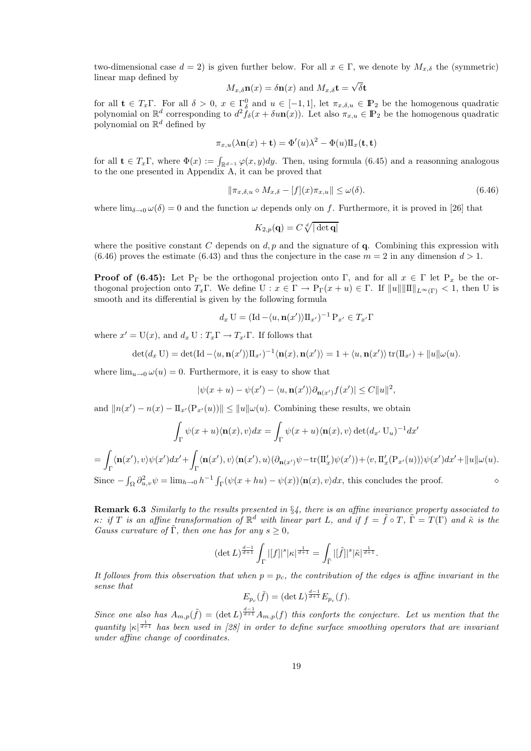two-dimensional case  $d = 2$ ) is given further below. For all  $x \in \Gamma$ , we denote by  $M_{x,\delta}$  the (symmetric) linear map defined by

$$
M_{x,\delta}\mathbf{n}(x) = \delta\mathbf{n}(x)
$$
 and  $M_{x,\delta}\mathbf{t} = \sqrt{\delta}\mathbf{t}$ 

for all  $\mathbf{t} \in T_x\Gamma$ . For all  $\delta > 0$ ,  $x \in \Gamma_0^0$  and  $u \in [-1,1]$ , let  $\pi_{x,\delta,u} \in \mathbb{P}_2$  be the homogenous quadratic polynomial on  $\mathbb{R}^d$  corresponding to  $d^2 \tilde{f}_\delta(x + \delta u \mathbf{n}(x))$ . Let also  $\pi_{x,u} \in \mathbb{P}_2$  be the homogenous quadratic polynomial on  $\mathbb{R}^d$  defined by

$$
\pi_{x,u}(\lambda \mathbf{n}(x) + \mathbf{t}) = \Phi'(u)\lambda^2 - \Phi(u)\Pi_x(\mathbf{t}, \mathbf{t})
$$

for all  $\mathbf{t} \in T_x\Gamma$ , where  $\Phi(x) := \int_{\mathbb{R}^{d-1}} \varphi(x, y) dy$ . Then, using formula (6.45) and a reasonning analogous to the one presented in Appendix A, it can be proved that

$$
\|\pi_{x,\delta,u} \circ M_{x,\delta} - [f](x)\pi_{x,u}\| \le \omega(\delta). \tag{6.46}
$$

where  $\lim_{\delta\to 0} \omega(\delta) = 0$  and the function  $\omega$  depends only on f. Furthermore, it is proved in [26] that

$$
K_{2,p}(\mathbf{q})=C\sqrt[d]{|\det \mathbf{q}|}
$$

where the positive constant C depends on  $d, p$  and the signature of q. Combining this expression with  $(6.46)$  proves the estimate  $(6.43)$  and thus the conjecture in the case  $m = 2$  in any dimension  $d > 1$ .

**Proof of (6.45):** Let P<sub>Γ</sub> be the orthogonal projection onto Γ, and for all  $x \in \Gamma$  let P<sub>x</sub> be the orthogonal projection onto  $T_x\Gamma$ . We define  $U: x \in \Gamma \to P_{\Gamma}(x+u) \in \Gamma$ . If  $||u|| ||\Pi||_{L^{\infty}(\Gamma)} < 1$ , then U is smooth and its differential is given by the following formula

$$
d_x \mathbf{U} = (\mathrm{Id} - \langle u, \mathbf{n}(x') \rangle \Pi_{x'})^{-1} \mathbf{P}_{x'} \in T_{x'} \Gamma
$$

where  $x' = U(x)$ , and  $d_x U : T_x \Gamma \to T_{x'} \Gamma$ . If follows that

$$
\det(d_x \mathbf{U}) = \det(\mathrm{Id} - \langle u, \mathbf{n}(x') \rangle \mathbf{\Pi}_{x'})^{-1} \langle \mathbf{n}(x), \mathbf{n}(x') \rangle = 1 + \langle u, \mathbf{n}(x') \rangle \operatorname{tr}(\mathbf{\Pi}_{x'}) + ||u|| \omega(u).
$$

where  $\lim_{u\to 0} \omega(u) = 0$ . Furthermore, it is easy to show that

$$
|\psi(x+u)-\psi(x')-\langle u,\mathbf{n}(x')\rangle \partial_{\mathbf{n}(x')}f(x')|\leq C||u||^2,
$$

and  $||n(x') - n(x) - \Pi_{x'}(\mathbf{P}_{x'}(u))|| \le ||u|| \omega(u)$ . Combining these results, we obtain

$$
\int_{\Gamma} \psi(x+u)\langle \mathbf{n}(x), v\rangle dx = \int_{\Gamma} \psi(x+u)\langle \mathbf{n}(x), v\rangle \det(d_{x'} \mathbf{U}_{u})^{-1} dx'
$$
\n
$$
= \int_{\Gamma} \langle \mathbf{n}(x'), v\rangle \psi(x') dx' + \int_{\Gamma} \langle \mathbf{n}(x'), v\rangle \langle \mathbf{n}(x'), u\rangle (\partial_{\mathbf{n}(x')} \psi - \text{tr}(\mathbf{I}'_{x}) \psi(x')) + \langle v, \mathbf{I}'_{x}(\mathbf{P}_{x'}(u))\rangle \psi(x') dx' + \|u\| \omega(u).
$$
\nSince  $-\int_{\Omega} \partial_{u,v}^{2} \psi = \lim_{h \to 0} h^{-1} \int_{\Gamma} (\psi(x+hu) - \psi(x)) \langle \mathbf{n}(x), v\rangle dx$ , this concludes the proof.

Remark 6.3 *Similarly to the results presented in* §*4, there is an affine invariance property associated to*  $\kappa$ : if T is an affine transformation of  $\mathbb{R}^d$  with linear part L, and if  $f = \tilde{f} \circ T$ ,  $\tilde{\Gamma} = T(\Gamma)$  and  $\tilde{\kappa}$  is the *Gauss curvature of*  $\tilde{\Gamma}$ *, then one has for any*  $s \geq 0$ *,* 

$$
(\det L)^{\frac{d-1}{d+1}}\int_{\Gamma}|[f]|^s|\kappa|^{\frac{1}{d+1}}=\int_{\tilde{\Gamma}}|[\tilde{f}]|^s|\tilde{\kappa}|^{\frac{1}{d+1}}.
$$

It follows from this observation that when  $p = p_c$ , the contribution of the edges is affine invariant in the *sense that*

$$
E_{p_c}(\tilde{f}) = (\det L)^{\frac{d-1}{d+1}} E_{p_c}(f).
$$

Since one also has  $A_{m,p}(\tilde{f}) = (\det L)^{\frac{d-1}{d+1}} A_{m,p}(f)$  this conforts the conjecture. Let us mention that the  $quantity$   $|\kappa|^{\frac{1}{d+1}}$  *has been used in [28] in order to define surface smoothing operators that are invariant under affine change of coordinates.*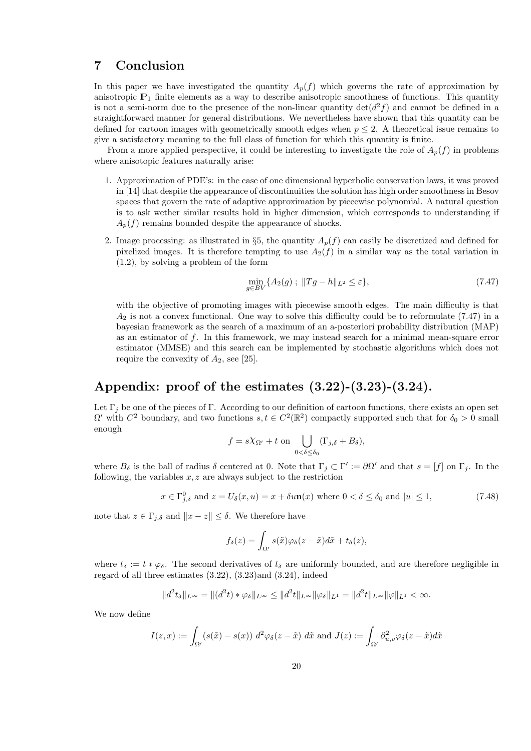#### 7 Conclusion

In this paper we have investigated the quantity  $A_p(f)$  which governs the rate of approximation by anisotropic  $\mathbb{P}_1$  finite elements as a way to describe anisotropic smoothness of functions. This quantity is not a semi-norm due to the presence of the non-linear quantity  $\det(d^2 f)$  and cannot be defined in a straightforward manner for general distributions. We nevertheless have shown that this quantity can be defined for cartoon images with geometrically smooth edges when  $p \leq 2$ . A theoretical issue remains to give a satisfactory meaning to the full class of function for which this quantity is finite.

From a more applied perspective, it could be interesting to investigate the role of  $A_p(f)$  in problems where anisotopic features naturally arise:

- 1. Approximation of PDE's: in the case of one dimensional hyperbolic conservation laws, it was proved in [14] that despite the appearance of discontinuities the solution has high order smoothness in Besov spaces that govern the rate of adaptive approximation by piecewise polynomial. A natural question is to ask wether similar results hold in higher dimension, which corresponds to understanding if  $A_n(f)$  remains bounded despite the appearance of shocks.
- 2. Image processing: as illustrated in §5, the quantity  $A_p(f)$  can easily be discretized and defined for pixelized images. It is therefore tempting to use  $A_2(f)$  in a similar way as the total variation in (1.2), by solving a problem of the form

$$
\min_{g \in BV} \{ A_2(g) ; ||Tg - h||_{L^2} \le \varepsilon \},\tag{7.47}
$$

with the objective of promoting images with piecewise smooth edges. The main difficulty is that  $A_2$  is not a convex functional. One way to solve this difficulty could be to reformulate (7.47) in a bayesian framework as the search of a maximum of an a-posteriori probability distribution (MAP) as an estimator of f. In this framework, we may instead search for a minimal mean-square error estimator (MMSE) and this search can be implemented by stochastic algorithms which does not require the convexity of  $A_2$ , see [25].

# Appendix: proof of the estimates (3.22)-(3.23)-(3.24).

Let  $\Gamma_i$  be one of the pieces of Γ. According to our definition of cartoon functions, there exists an open set  $\Omega'$  with  $C^2$  boundary, and two functions  $s, t \in C^2(\mathbb{R}^2)$  compactly supported such that for  $\delta_0 > 0$  small enough

$$
f = s\chi_{\Omega'} + t \text{ on } \bigcup_{0 < \delta \leq \delta_0} (\Gamma_{j,\delta} + B_\delta),
$$

where  $B_{\delta}$  is the ball of radius  $\delta$  centered at 0. Note that  $\Gamma_j \subset \Gamma' := \partial \Omega'$  and that  $s = [f]$  on  $\Gamma_j$ . In the following, the variables  $x, z$  are always subject to the restriction

$$
x \in \Gamma^0_{j,\delta} \text{ and } z = U_{\delta}(x, u) = x + \delta u \mathbf{n}(x) \text{ where } 0 < \delta \le \delta_0 \text{ and } |u| \le 1,\tag{7.48}
$$

note that  $z \in \Gamma_{j,\delta}$  and  $||x - z|| \leq \delta$ . We therefore have

$$
f_{\delta}(z) = \int_{\Omega'} s(\tilde{x}) \varphi_{\delta}(z - \tilde{x}) d\tilde{x} + t_{\delta}(z),
$$

where  $t_\delta := t * \varphi_\delta$ . The second derivatives of  $t_\delta$  are uniformly bounded, and are therefore negligible in regard of all three estimates (3.22), (3.23)and (3.24), indeed

$$
||d^2t_\delta||_{L^\infty} = ||(d^2t) * \varphi_\delta||_{L^\infty} \le ||d^2t||_{L^\infty} ||\varphi_\delta||_{L^1} = ||d^2t||_{L^\infty} ||\varphi||_{L^1} < \infty.
$$

We now define

$$
I(z,x) := \int_{\Omega'} (s(\tilde{x}) - s(x)) d^2 \varphi_{\delta}(z - \tilde{x}) d\tilde{x} \text{ and } J(z) := \int_{\Omega'} \partial_{u,v}^2 \varphi_{\delta}(z - \tilde{x}) d\tilde{x}
$$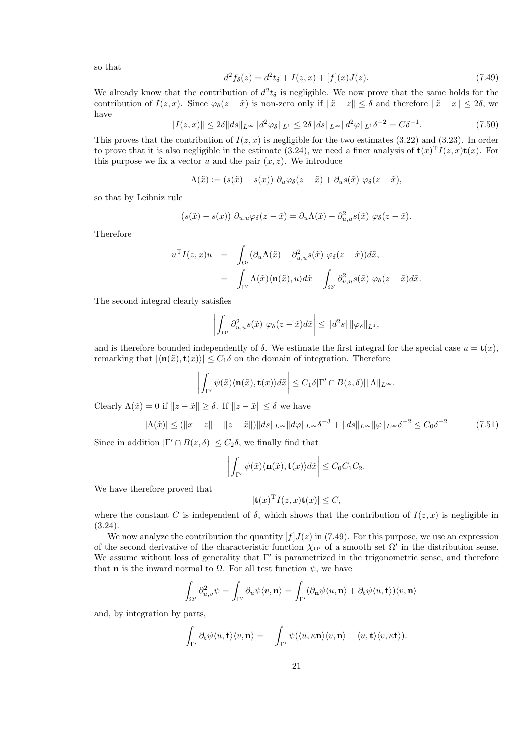so that

$$
d^2f_\delta(z) = d^2t_\delta + I(z, x) + [f](x)J(z).
$$
\n(7.49)

We already know that the contribution of  $d^2 t_\delta$  is negligible. We now prove that the same holds for the contribution of  $I(z, x)$ . Since  $\varphi_{\delta}(z - \tilde{x})$  is non-zero only if  $\|\tilde{x} - z\| \leq \delta$  and therefore  $\|\tilde{x} - x\| \leq 2\delta$ , we have

$$
||I(z,x)|| \le 2\delta ||ds||_{L^{\infty}} ||d^2\varphi_{\delta}||_{L^1} \le 2\delta ||ds||_{L^{\infty}} ||d^2\varphi||_{L^1} \delta^{-2} = C\delta^{-1}.
$$
 (7.50)

This proves that the contribution of  $I(z, x)$  is negligible for the two estimates (3.22) and (3.23). In order to prove that it is also negligible in the estimate (3.24), we need a finer analysis of  $\mathbf{t}(x)^T I(z,x) \mathbf{t}(x)$ . For this purpose we fix a vector u and the pair  $(x, z)$ . We introduce

$$
\Lambda(\tilde{x}) := (s(\tilde{x}) - s(x)) \partial_u \varphi_\delta(z - \tilde{x}) + \partial_u s(\tilde{x}) \varphi_\delta(z - \tilde{x}),
$$

so that by Leibniz rule

$$
(s(\tilde{x}) - s(x)) \partial_{u,u} \varphi_{\delta}(z - \tilde{x}) = \partial_u \Lambda(\tilde{x}) - \partial_{u,u}^2 s(\tilde{x}) \varphi_{\delta}(z - \tilde{x}).
$$

Therefore

$$
u^{T}I(z,x)u = \int_{\Omega'} (\partial_{u}\Lambda(\tilde{x}) - \partial_{u,u}^{2} s(\tilde{x}) \varphi_{\delta}(z - \tilde{x}))d\tilde{x},
$$
  

$$
= \int_{\Gamma'} \Lambda(\tilde{x}) \langle \mathbf{n}(\tilde{x}), u \rangle d\tilde{x} - \int_{\Omega'} \partial_{u,u}^{2} s(\tilde{x}) \varphi_{\delta}(z - \tilde{x})d\tilde{x}.
$$

The second integral clearly satisfies

$$
\left| \int_{\Omega'} \partial_{u,u}^2 s(\tilde{x}) \varphi_\delta(z-\tilde{x}) d\tilde{x} \right| \leq ||d^2 s|| ||\varphi_\delta||_{L^1},
$$

and is therefore bounded independently of  $\delta$ . We estimate the first integral for the special case  $u = \mathbf{t}(x)$ , remarking that  $|\langle \mathbf{n}(\tilde{x}), \mathbf{t}(x)\rangle| \leq C_1 \delta$  on the domain of integration. Therefore

$$
\left| \int_{\Gamma'} \psi(\tilde{x}) \langle \mathbf{n}(\tilde{x}), \mathbf{t}(x) \rangle d\tilde{x} \right| \leq C_1 \delta |\Gamma' \cap B(z, \delta)| ||\Lambda||_{L^{\infty}}.
$$

Clearly  $\Lambda(\tilde{x}) = 0$  if  $||z - \tilde{x}|| \ge \delta$ . If  $||z - \tilde{x}|| \le \delta$  we have

$$
|\Lambda(\tilde{x})| \le (||x - z|| + ||z - \tilde{x}||) ||ds||_{L^{\infty}} ||d\varphi||_{L^{\infty}} \delta^{-3} + ||ds||_{L^{\infty}} ||\varphi||_{L^{\infty}} \delta^{-2} \le C_0 \delta^{-2}
$$
 (7.51)

Since in addition  $|\Gamma' \cap B(z, \delta)| \leq C_2 \delta$ , we finally find that

$$
\left| \int_{\Gamma'} \psi(\tilde{x}) \langle \mathbf{n}(\tilde{x}), \mathbf{t}(x) \rangle d\tilde{x} \right| \leq C_0 C_1 C_2.
$$

We have therefore proved that

$$
|\mathbf{t}(x)^{\mathrm{T}}I(z,x)\mathbf{t}(x)| \leq C,
$$

where the constant C is independent of  $\delta$ , which shows that the contribution of  $I(z, x)$  is negligible in (3.24).

We now analyze the contribution the quantity  $[f]J(z)$  in (7.49). For this purpose, we use an expression of the second derivative of the characteristic function  $\chi_{\Omega'}$  of a smooth set  $\Omega'$  in the distribution sense. We assume without loss of generality that  $\Gamma'$  is parametrized in the trigonometric sense, and therefore that **n** is the inward normal to  $\Omega$ . For all test function  $\psi$ , we have

$$
-\int_{\Omega'} \partial_{u,v}^2 \psi = \int_{\Gamma'} \partial_u \psi \langle v, \mathbf{n} \rangle = \int_{\Gamma'} (\partial_{\mathbf{n}} \psi \langle u, \mathbf{n} \rangle + \partial_{\mathbf{t}} \psi \langle u, \mathbf{t} \rangle) \langle v, \mathbf{n} \rangle
$$

and, by integration by parts,

$$
\int_{\Gamma'} \partial_{\mathbf{t}} \psi \langle u, \mathbf{t} \rangle \langle v, \mathbf{n} \rangle = - \int_{\Gamma'} \psi(\langle u, \kappa \mathbf{n} \rangle \langle v, \mathbf{n} \rangle - \langle u, \mathbf{t} \rangle \langle v, \kappa \mathbf{t} \rangle).
$$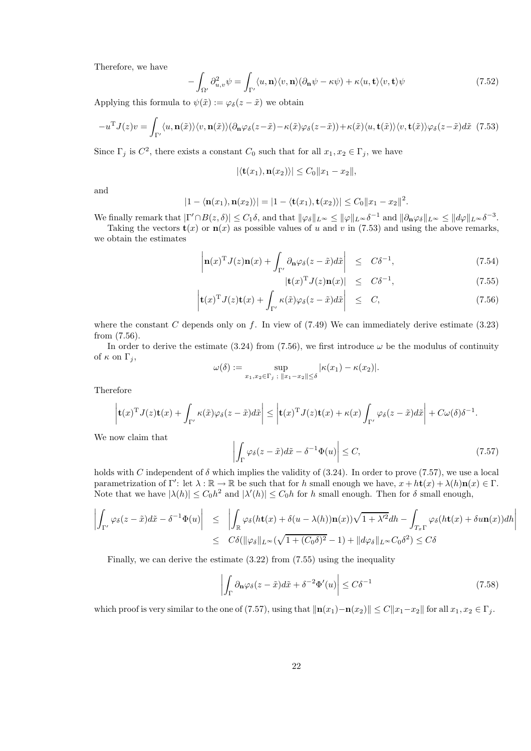Therefore, we have

$$
-\int_{\Omega'} \partial_{u,v}^2 \psi = \int_{\Gamma'} \langle u, \mathbf{n} \rangle \langle v, \mathbf{n} \rangle (\partial_{\mathbf{n}} \psi - \kappa \psi) + \kappa \langle u, \mathbf{t} \rangle \langle v, \mathbf{t} \rangle \psi \tag{7.52}
$$

Applying this formula to  $\psi(\tilde{x}) := \varphi_{\delta}(z - \tilde{x})$  we obtain

$$
-u^{\mathrm{T}}J(z)v = \int_{\Gamma'} \langle u, \mathbf{n}(\tilde{x}) \rangle \langle v, \mathbf{n}(\tilde{x}) \rangle (\partial_{\mathbf{n}} \varphi_{\delta}(z-\tilde{x}) - \kappa(\tilde{x}) \varphi_{\delta}(z-\tilde{x})) + \kappa(\tilde{x}) \langle u, \mathbf{t}(\tilde{x}) \rangle \langle v, \mathbf{t}(\tilde{x}) \rangle \varphi_{\delta}(z-\tilde{x}) d\tilde{x}
$$
(7.53)

Since  $\Gamma_j$  is  $C^2$ , there exists a constant  $C_0$  such that for all  $x_1, x_2 \in \Gamma_j$ , we have

$$
|\langle \mathbf{t}(x_1), \mathbf{n}(x_2) \rangle| \leq C_0 ||x_1 - x_2||,
$$

and

$$
|1 - \langle \mathbf{n}(x_1), \mathbf{n}(x_2) \rangle| = |1 - \langle \mathbf{t}(x_1), \mathbf{t}(x_2) \rangle| \le C_0 ||x_1 - x_2||^2
$$

We finally remark that  $|\Gamma' \cap B(z, \delta)| \leq C_1 \delta$ , and that  $\|\varphi_{\delta}\|_{L^{\infty}} \leq \|\varphi\|_{L^{\infty}} \delta^{-1}$  and  $\|\partial_{\mathbf{n}} \varphi_{\delta}\|_{L^{\infty}} \leq \|d\varphi\|_{L^{\infty}} \delta^{-3}$ .

Taking the vectors  $\mathbf{t}(x)$  or  $\mathbf{n}(x)$  as possible values of u and v in (7.53) and using the above remarks, we obtain the estimates

$$
\left| \mathbf{n}(x)^{\mathrm{T}} J(z) \mathbf{n}(x) + \int_{\Gamma'} \partial_{\mathbf{n}} \varphi_{\delta}(z - \tilde{x}) d\tilde{x} \right| \leq C \delta^{-1}, \tag{7.54}
$$

$$
|\mathbf{t}(x)^{\mathrm{T}}J(z)\mathbf{n}(x)| \leq C\delta^{-1}, \tag{7.55}
$$

.

$$
\left| \mathbf{t}(x)^{\mathrm{T}} J(z) \mathbf{t}(x) + \int_{\Gamma'} \kappa(\tilde{x}) \varphi_{\delta}(z - \tilde{x}) d\tilde{x} \right| \leq C, \tag{7.56}
$$

where the constant C depends only on f. In view of  $(7.49)$  We can immediately derive estimate  $(3.23)$ from (7.56).

In order to derive the estimate (3.24) from (7.56), we first introduce  $\omega$  be the modulus of continuity of  $\kappa$  on  $\Gamma_i$ ,

$$
\omega(\delta) := \sup_{x_1, x_2 \in \Gamma_j; \|x_1 - x_2\| \le \delta} |\kappa(x_1) - \kappa(x_2)|.
$$

Therefore

$$
\left|\mathbf{t}(x)^{\mathrm{T}}J(z)\mathbf{t}(x)+\int_{\Gamma'}\kappa(\tilde{x})\varphi_{\delta}(z-\tilde{x})d\tilde{x}\right|\leq\left|\mathbf{t}(x)^{\mathrm{T}}J(z)\mathbf{t}(x)+\kappa(x)\int_{\Gamma'}\varphi_{\delta}(z-\tilde{x})d\tilde{x}\right|+C\omega(\delta)\delta^{-1}.
$$

We now claim that

$$
\left| \int_{\Gamma} \varphi_{\delta}(z - \tilde{x}) d\tilde{x} - \delta^{-1} \Phi(u) \right| \le C, \tag{7.57}
$$

holds with C independent of  $\delta$  which implies the validity of (3.24). In order to prove (7.57), we use a local parametrization of  $\Gamma'$ : let  $\lambda : \mathbb{R} \to \mathbb{R}$  be such that for h small enough we have,  $x + ht(x) + \lambda(h)\mathbf{n}(x) \in \Gamma$ . Note that we have  $|\lambda(h)| \leq C_0 h^2$  and  $|\lambda'(h)| \leq C_0 h$  for h small enough. Then for  $\delta$  small enough,

$$
\left| \int_{\Gamma'} \varphi_{\delta}(z - \tilde{x}) d\tilde{x} - \delta^{-1} \Phi(u) \right| \leq \left| \int_{\mathbb{R}} \varphi_{\delta}(h\mathbf{t}(x) + \delta(u - \lambda(h)) \mathbf{n}(x)) \sqrt{1 + \lambda'^2} dh - \int_{T_x \Gamma} \varphi_{\delta}(h\mathbf{t}(x) + \delta u \mathbf{n}(x)) dh \right|
$$
  

$$
\leq C\delta(\|\varphi_{\delta}\|_{L^{\infty}} (\sqrt{1 + (C_0 \delta)^2} - 1) + \|d\varphi_{\delta}\|_{L^{\infty}} C_0 \delta^2) \leq C\delta
$$

Finally, we can derive the estimate  $(3.22)$  from  $(7.55)$  using the inequality

$$
\left| \int_{\Gamma} \partial_{\mathbf{n}} \varphi_{\delta}(z - \tilde{x}) d\tilde{x} + \delta^{-2} \Phi'(u) \right| \le C \delta^{-1}
$$
\n(7.58)

which proof is very similar to the one of (7.57), using that  $\|\mathbf{n}(x_1)-\mathbf{n}(x_2)\| \leq C||x_1-x_2||$  for all  $x_1, x_2 \in \Gamma_j$ .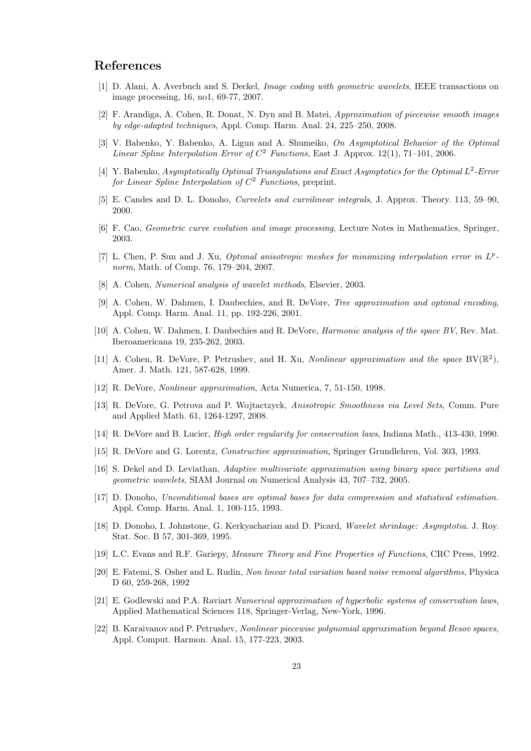#### References

- [1] D. Alani, A. Averbuch and S. Deckel, *Image coding with geometric wavelets*, IEEE transactions on image processing, 16, no1, 69-77, 2007.
- [2] F. Arandiga, A. Cohen, R. Donat, N. Dyn and B. Matei, *Approximation of piecewise smooth images by edge-adapted techniques*, Appl. Comp. Harm. Anal. 24, 225–250, 2008.
- [3] V. Babenko, Y. Babenko, A. Ligun and A. Shumeiko, *On Asymptotical Behavior of the Optimal Linear Spline Interpolation Error of* C <sup>2</sup> *Functions*, East J. Approx. 12(1), 71–101, 2006.
- [4] Y. Babenko, *Asymptotically Optimal Triangulations and Exact Asymptotics for the Optimal L<sup>2</sup>-Error for Linear Spline Interpolation of* C <sup>2</sup> *Functions*, preprint.
- [5] E. Candes and D. L. Donoho, *Curvelets and curvilinear integrals*, J. Approx. Theory. 113, 59–90, 2000.
- [6] F. Cao, *Geometric curve evolution and image processing*, Lecture Notes in Mathematics, Springer, 2003.
- [7] L. Chen, P. Sun and J. Xu, *Optimal anisotropic meshes for minimizing interpolation error in* L p  *norm*, Math. of Comp. 76, 179–204, 2007.
- [8] A. Cohen, *Numerical analysis of wavelet methods*, Elsevier, 2003.
- [9] A. Cohen, W. Dahmen, I. Daubechies, and R. DeVore, *Tree approximation and optimal encoding*, Appl. Comp. Harm. Anal. 11, pp. 192-226, 2001.
- [10] A. Cohen, W. Dahmen, I. Daubechies and R. DeVore, *Harmonic analysis of the space BV*, Rev. Mat. Iberoamericana 19, 235-262, 2003.
- [11] A. Cohen, R. DeVore, P. Petrushev, and H. Xu, *Nonlinear approximation and the space* BV( $\mathbb{R}^2$ ), Amer. J. Math. 121, 587-628, 1999.
- [12] R. DeVore, *Nonlinear approximation*, Acta Numerica, 7, 51-150, 1998.
- [13] R. DeVore, G. Petrova and P. Wojtactzyck, *Anisotropic Smoothness via Level Sets*, Comm. Pure and Applied Math. 61, 1264-1297, 2008.
- [14] R. DeVore and B. Lucier, *High order regularity for conservation laws*, Indiana Math., 413-430, 1990.
- [15] R. DeVore and G. Lorentz, *Constructive approximation*, Springer Grundlehren, Vol. 303, 1993.
- [16] S. Dekel and D. Leviathan, *Adaptive multivariate approximation using binary space partitions and geometric wavelets*, SIAM Journal on Numerical Analysis 43, 707–732, 2005.
- [17] D. Donoho, *Unconditional bases are optimal bases for data compression and statistical estimation.* Appl. Comp. Harm. Anal. 1, 100-115, 1993.
- [18] D. Donoho, I. Johnstone, G. Kerkyacharian and D. Picard, *Wavelet shrinkage: Asymptotia.* J. Roy. Stat. Soc. B 57, 301-369, 1995.
- [19] L.C. Evans and R.F. Gariepy, *Measure Theory and Fine Properties of Functions*, CRC Press, 1992.
- [20] E. Fatemi, S. Osher and L. Rudin, *Non linear total variation based noise removal algorithms*, Physica D 60, 259-268, 1992
- [21] E. Godlewski and P.A. Raviart *Numerical approximation of hyperbolic systems of conservation laws*, Applied Mathematical Sciences 118, Springer-Verlag, New-York, 1996.
- [22] B. Karaivanov and P. Petrushev, *Nonlinear piecewise polynomial approximation beyond Besov spaces*, Appl. Comput. Harmon. Anal. 15, 177-223, 2003.